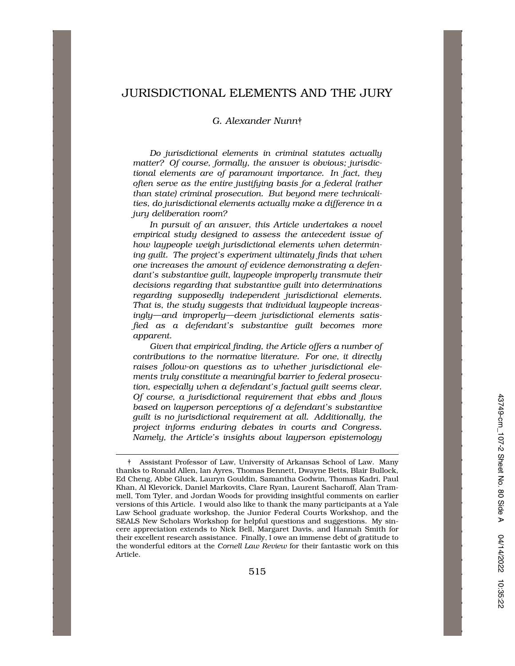# JURISDICTIONAL ELEMENTS AND THE JURY

## *G. Alexander Nunn*†

*Do jurisdictional elements in criminal statutes actually matter? Of course, formally, the answer is obvious; jurisdictional elements are of paramount importance. In fact, they often serve as the entire justifying basis for a federal (rather than state) criminal prosecution. But beyond mere technicalities, do jurisdictional elements actually make a difference in a jury deliberation room?* 

*In pursuit of an answer, this Article undertakes a novel empirical study designed to assess the antecedent issue of how laypeople weigh jurisdictional elements when determining guilt. The project's experiment ultimately finds that when one increases the amount of evidence demonstrating a defendant's substantive guilt, laypeople improperly transmute their decisions regarding that substantive guilt into determinations regarding supposedly independent jurisdictional elements. That is, the study suggests that individual laypeople increasingly—and improperly—deem jurisdictional elements satisfied as a defendant's substantive guilt becomes more apparent.* 

*Given that empirical finding, the Article offers a number of contributions to the normative literature. For one, it directly raises follow-on questions as to whether jurisdictional elements truly constitute a meaningful barrier to federal prosecution, especially when a defendant's factual guilt seems clear. Of course, a jurisdictional requirement that ebbs and flows based on layperson perceptions of a defendant's substantive guilt is no jurisdictional requirement at all. Additionally, the project informs enduring debates in courts and Congress. Namely, the Article's insights about layperson epistemology* 

<sup>†</sup> Assistant Professor of Law, University of Arkansas School of Law. Many thanks to Ronald Allen, Ian Ayres, Thomas Bennett, Dwayne Betts, Blair Bullock, Ed Cheng, Abbe Gluck, Lauryn Gouldin, Samantha Godwin, Thomas Kadri, Paul Khan, Al Klevorick, Daniel Markovits, Clare Ryan, Laurent Sacharoff, Alan Trammell, Tom Tyler, and Jordan Woods for providing insightful comments on earlier versions of this Article. I would also like to thank the many participants at a Yale Law School graduate workshop, the Junior Federal Courts Workshop, and the SEALS New Scholars Workshop for helpful questions and suggestions. My sincere appreciation extends to Nick Bell, Margaret Davis, and Hannah Smith for their excellent research assistance. Finally, I owe an immense debt of gratitude to the wonderful editors at the *Cornell Law Review* for their fantastic work on this Article.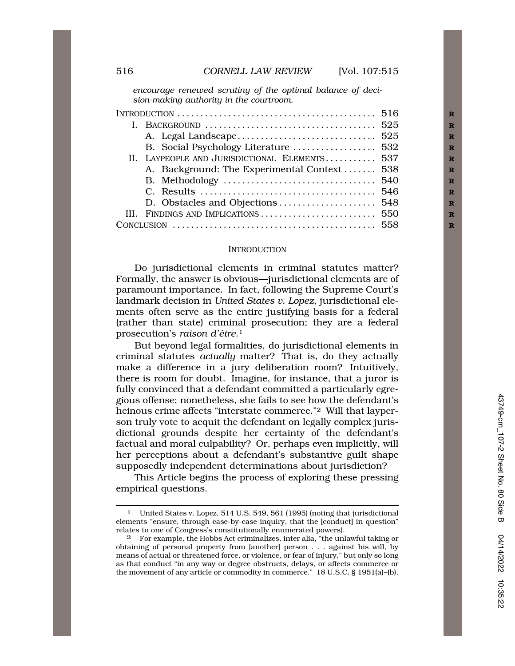*encourage renewed scrutiny of the optimal balance of decision-making authority in the courtroom.* 

| INTRODUCTION $\dots\dots\dots\dots\dots\dots\dots\dots\dots\dots\dots\dots\dots$ 516 |                                               |  |
|--------------------------------------------------------------------------------------|-----------------------------------------------|--|
|                                                                                      |                                               |  |
|                                                                                      |                                               |  |
|                                                                                      |                                               |  |
|                                                                                      | II. LAYPEOPLE AND JURISDICTIONAL ELEMENTS 537 |  |
|                                                                                      | A. Background: The Experimental Context  538  |  |
|                                                                                      |                                               |  |
|                                                                                      |                                               |  |
|                                                                                      |                                               |  |
|                                                                                      |                                               |  |
|                                                                                      |                                               |  |

#### **INTRODUCTION**

Do jurisdictional elements in criminal statutes matter? Formally, the answer is obvious—jurisdictional elements are of paramount importance. In fact, following the Supreme Court's landmark decision in *United States v. Lopez*, jurisdictional elements often serve as the entire justifying basis for a federal (rather than state) criminal prosecution; they are a federal prosecution's *raison d'être*.<sup>1</sup>

But beyond legal formalities, do jurisdictional elements in criminal statutes *actually* matter? That is, do they actually make a difference in a jury deliberation room? Intuitively, there is room for doubt. Imagine, for instance, that a juror is fully convinced that a defendant committed a particularly egregious offense; nonetheless, she fails to see how the defendant's heinous crime affects "interstate commerce."2 Will that layperson truly vote to acquit the defendant on legally complex jurisdictional grounds despite her certainty of the defendant's factual and moral culpability? Or, perhaps even implicitly, will her perceptions about a defendant's substantive guilt shape supposedly independent determinations about jurisdiction?

This Article begins the process of exploring these pressing empirical questions.

<sup>1</sup> United States v. Lopez, 514 U.S. 549, 561 (1995) (noting that jurisdictional elements "ensure, through case-by-case inquiry, that the [conduct] in question" relates to one of Congress's constitutionally enumerated powers).

<sup>2</sup> For example, the Hobbs Act criminalizes, inter alia, "the unlawful taking or obtaining of personal property from [another] person . . . against his will, by means of actual or threatened force, or violence, or fear of injury," but only so long as that conduct "in any way or degree obstructs, delays, or affects commerce or the movement of any article or commodity in commerce." 18 U.S.C. § 1951(a)–(b).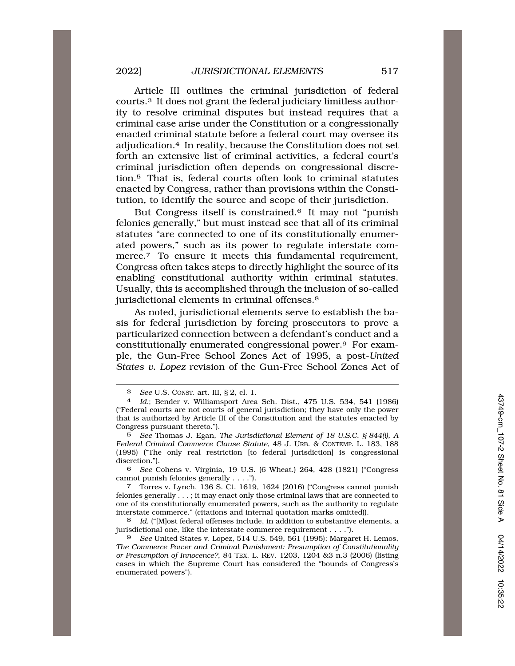Article III outlines the criminal jurisdiction of federal courts.3 It does not grant the federal judiciary limitless authority to resolve criminal disputes but instead requires that a criminal case arise under the Constitution or a congressionally enacted criminal statute before a federal court may oversee its adjudication.4 In reality, because the Constitution does not set forth an extensive list of criminal activities, a federal court's criminal jurisdiction often depends on congressional discretion.5 That is, federal courts often look to criminal statutes enacted by Congress, rather than provisions within the Constitution, to identify the source and scope of their jurisdiction.

But Congress itself is constrained.6 It may not "punish felonies generally," but must instead see that all of its criminal statutes "are connected to one of its constitutionally enumerated powers," such as its power to regulate interstate commerce.<sup>7</sup> To ensure it meets this fundamental requirement, Congress often takes steps to directly highlight the source of its enabling constitutional authority within criminal statutes. Usually, this is accomplished through the inclusion of so-called jurisdictional elements in criminal offenses.<sup>8</sup>

As noted, jurisdictional elements serve to establish the basis for federal jurisdiction by forcing prosecutors to prove a particularized connection between a defendant's conduct and a constitutionally enumerated congressional power.9 For example, the Gun-Free School Zones Act of 1995, a post-*United States v. Lopez* revision of the Gun-Free School Zones Act of

6 *See* Cohens v. Virginia, 19 U.S. (6 Wheat.) 264, 428 (1821) ("Congress cannot punish felonies generally . . . .").

7 Torres v. Lynch, 136 S. Ct. 1619, 1624 (2016) ("Congress cannot punish felonies generally . . . ; it may enact only those criminal laws that are connected to one of its constitutionally enumerated powers, such as the authority to regulate interstate commerce." (citations and internal quotation marks omitted)).

8 *Id.* ("[M]ost federal offenses include, in addition to substantive elements, a jurisdictional one, like the interstate commerce requirement . . . .").

<sup>3</sup> *See* U.S. CONST. art. III, § 2, cl. 1.

<sup>4</sup> *Id.*; Bender v. Williamsport Area Sch. Dist., 475 U.S. 534, 541 (1986) ("Federal courts are not courts of general jurisdiction; they have only the power that is authorized by Article III of the Constitution and the statutes enacted by Congress pursuant thereto.").

<sup>5</sup> *See* Thomas J. Egan, *The Jurisdictional Element of 18 U.S.C. § 844(i), A Federal Criminal Commerce Clause Statute*, 48 J. URB. & CONTEMP. L. 183, 188 (1995) ("The only real restriction [to federal jurisdiction] is congressional discretion.").

<sup>9</sup> *See* United States v. Lopez, 514 U.S. 549, 561 (1995); Margaret H. Lemos, *The Commerce Power and Criminal Punishment: Presumption of Constitutionality or Presumption of Innocence?*, 84 TEX. L. REV. 1203, 1204 &3 n.3 (2006) (listing cases in which the Supreme Court has considered the "bounds of Congress's enumerated powers").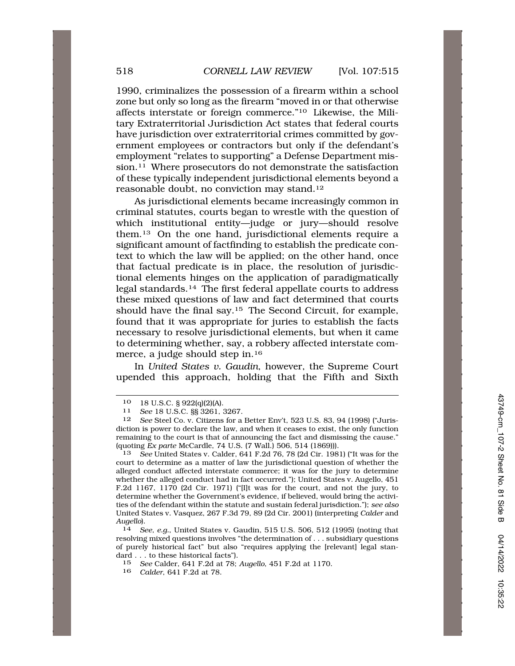1990, criminalizes the possession of a firearm within a school zone but only so long as the firearm "moved in or that otherwise affects interstate or foreign commerce."10 Likewise, the Military Extraterritorial Jurisdiction Act states that federal courts have jurisdiction over extraterritorial crimes committed by government employees or contractors but only if the defendant's employment "relates to supporting" a Defense Department mission.<sup>11</sup> Where prosecutors do not demonstrate the satisfaction of these typically independent jurisdictional elements beyond a reasonable doubt, no conviction may [stand.12](https://stand.12)

As jurisdictional elements became increasingly common in criminal statutes, courts began to wrestle with the question of which institutional entity—judge or jury—should resolve them.13 On the one hand, jurisdictional elements require a significant amount of factfinding to establish the predicate context to which the law will be applied; on the other hand, once that factual predicate is in place, the resolution of jurisdictional elements hinges on the application of paradigmatically legal [standards.14](https://standards.14) The first federal appellate courts to address these mixed questions of law and fact determined that courts should have the final say.15 The Second Circuit, for example, found that it was appropriate for juries to establish the facts necessary to resolve jurisdictional elements, but when it came to determining whether, say, a robbery affected interstate commerce, a judge should step in.16

In *United States v. Gaudin*, however, the Supreme Court upended this approach, holding that the Fifth and Sixth

<sup>10 18</sup> U.S.C. § 922(q)(2)(A). 11 *See* 18 U.S.C. §§ 3261, 3267.

<sup>12</sup> *See* Steel Co. v. Citizens for a Better Env't, 523 U.S. 83, 94 (1998) ("Jurisdiction is power to declare the law, and when it ceases to exist, the only function remaining to the court is that of announcing the fact and dismissing the cause." (quoting *Ex parte* McCardle, 74 U.S. (7 Wall.) 506, 514 (1869))).

<sup>13</sup> *See* United States v. Calder, 641 F.2d 76, 78 (2d Cir. 1981) ("It was for the court to determine as a matter of law the jurisdictional question of whether the alleged conduct affected interstate commerce; it was for the jury to determine whether the alleged conduct had in fact occurred."); United States v. Augello, 451 F.2d 1167, 1170 (2d Cir. 1971) ("[I]t was for the court, and not the jury, to determine whether the Government's evidence, if believed, would bring the activities of the defendant within the statute and sustain federal jurisdiction."); *see also*  United States v. Vasquez, 267 F.3d 79, 89 (2d Cir. 2001) (interpreting *Calder* and *Augello*). 14 *See, e.g.*, United States v. Gaudin, 515 U.S. 506, 512 (1995) (noting that

resolving mixed questions involves "the determination of . . . subsidiary questions of purely historical fact" but also "requires applying the [relevant] legal standard . . . to these historical facts").

<sup>15</sup> *See* Calder, 641 F.2d at 78; *Augello*, 451 F.2d at 1170.

<sup>16</sup> *Calder*, 641 F.2d at 78.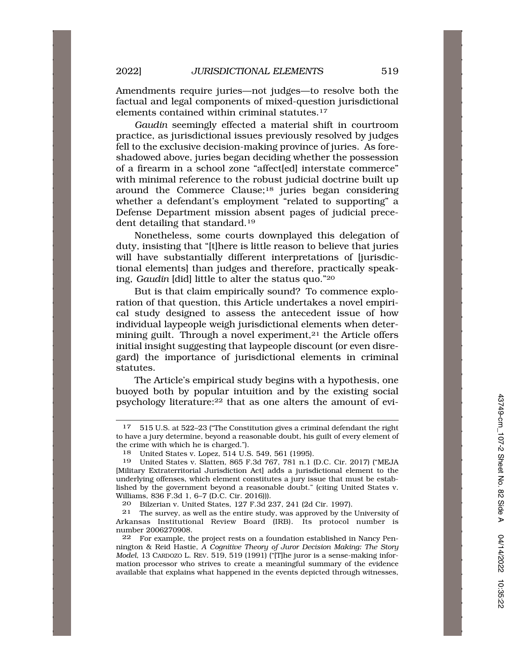Amendments require juries—not judges—to resolve both the factual and legal components of mixed-question jurisdictional elements contained within criminal [statutes.17](https://statutes.17) 

*Gaudin* seemingly effected a material shift in courtroom practice, as jurisdictional issues previously resolved by judges fell to the exclusive decision-making province of juries. As foreshadowed above, juries began deciding whether the possession of a firearm in a school zone "affect[ed] interstate commerce" with minimal reference to the robust judicial doctrine built up around the Commerce Clause;18 juries began considering whether a defendant's employment "related to supporting" a Defense Department mission absent pages of judicial precedent detailing that [standard.19](https://standard.19) 

Nonetheless, some courts downplayed this delegation of duty, insisting that "[t]here is little reason to believe that juries will have substantially different interpretations of [jurisdictional elements] than judges and therefore, practically speaking, *Gaudin* [did] little to alter the status quo."20

But is that claim empirically sound? To commence exploration of that question, this Article undertakes a novel empirical study designed to assess the antecedent issue of how individual laypeople weigh jurisdictional elements when determining guilt. Through a novel experiment, $21$  the Article offers initial insight suggesting that laypeople discount (or even disregard) the importance of jurisdictional elements in criminal statutes.

The Article's empirical study begins with a hypothesis, one buoyed both by popular intuition and by the existing social psychology literature:22 that as one alters the amount of evi-

20 Bilzerian v. United States, 127 F.3d 237, 241 (2d Cir. 1997).

21 The survey, as well as the entire study, was approved by the University of Arkansas Institutional Review Board (IRB). Its protocol number is number 2006270908.

22 For example, the project rests on a foundation established in Nancy Pennington & Reid Hastie, *A Cognitive Theory of Juror Decision Making: The Story Model*, 13 CARDOZO L. REV. 519, 519 (1991) ("[T]he juror is a sense-making information processor who strives to create a meaningful summary of the evidence available that explains what happened in the events depicted through witnesses,

<sup>17 515</sup> U.S. at 522–23 ("The Constitution gives a criminal defendant the right to have a jury determine, beyond a reasonable doubt, his guilt of every element of the crime with which he is charged.").

<sup>18</sup> United States v. Lopez, 514 U.S. 549, 561 (1995).

<sup>19</sup> United States v. Slatten, 865 F.3d 767, 781 n.1 (D.C. Cir. 2017) ("MEJA [Military Extraterritorial Jurisdiction Act] adds a jurisdictional element to the underlying offenses, which element constitutes a jury issue that must be established by the government beyond a reasonable doubt." (citing United States v. Williams, 836 F.3d 1, 6–7 (D.C. Cir. 2016))).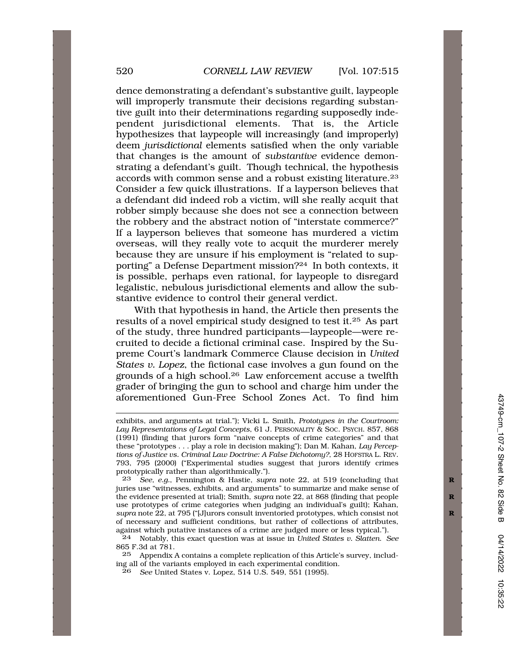dence demonstrating a defendant's substantive guilt, laypeople will improperly transmute their decisions regarding substantive guilt into their determinations regarding supposedly independent jurisdictional elements. That is, the Article hypothesizes that laypeople will increasingly (and improperly) deem *jurisdictional* elements satisfied when the only variable that changes is the amount of *substantive* evidence demonstrating a defendant's guilt. Though technical, the hypothesis accords with common sense and a robust existing [literature.23](https://literature.23)  Consider a few quick illustrations. If a layperson believes that a defendant did indeed rob a victim, will she really acquit that robber simply because she does not see a connection between the robbery and the abstract notion of "interstate commerce?" If a layperson believes that someone has murdered a victim overseas, will they really vote to acquit the murderer merely because they are unsure if his employment is "related to supporting" a Defense Department mission?24 In both contexts, it is possible, perhaps even rational, for laypeople to disregard legalistic, nebulous jurisdictional elements and allow the substantive evidence to control their general verdict.

With that hypothesis in hand, the Article then presents the results of a novel empirical study designed to test it.25 As part of the study, three hundred participants—laypeople—were recruited to decide a fictional criminal case. Inspired by the Supreme Court's landmark Commerce Clause decision in *United States v. Lopez*, the fictional case involves a gun found on the grounds of a high [school.26](https://school.26) Law enforcement accuse a twelfth grader of bringing the gun to school and charge him under the aforementioned Gun-Free School Zones Act. To find him

23 *See, e.g.*, Pennington & Hastie, *supra* note 22, at 519 (concluding that juries use "witnesses, exhibits, and arguments" to summarize and make sense of the evidence presented at trial); Smith, *supra* note 22, at 868 (finding that people **R**  use prototypes of crime categories when judging an individual's guilt); Kahan, *supra* note 22, at 795 ("[J]urors consult inventoried prototypes, which consist not **R**  of necessary and sufficient conditions, but rather of collections of attributes, against which putative instances of a crime are judged more or less typical.").

24 Notably, this exact question was at issue in *United States v. Slatten*. *See*  865 F.3d at 781.

25 Appendix A contains a complete replication of this Article's survey, including all of the variants employed in each experimental condition.

26 *See* United States v. Lopez, 514 U.S. 549, 551 (1995).

exhibits, and arguments at trial."); Vicki L. Smith, *Prototypes in the Courtroom: Lay Representations of Legal Concepts*, 61 J. PERSONALITY & SOC. PSYCH. 857, 868 (1991) (finding that jurors form "naive concepts of crime categories" and that these "prototypes . . . play a role in decision making"); Dan M. Kahan, *Lay Perceptions of Justice vs. Criminal Law Doctrine: A False Dichotomy?*, 28 HOFSTRA L. REV. 793, 795 (2000) ("Experimental studies suggest that jurors identify crimes prototypically rather than algorithmically.").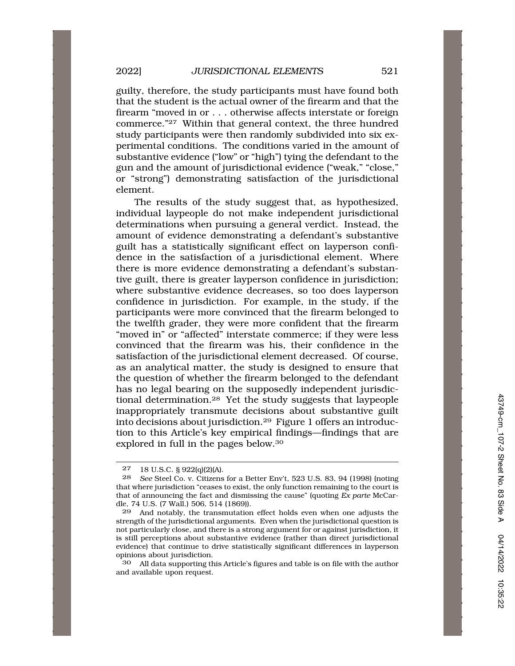guilty, therefore, the study participants must have found both that the student is the actual owner of the firearm and that the firearm "moved in or . . . otherwise affects interstate or foreign commerce."27 Within that general context, the three hundred study participants were then randomly subdivided into six experimental conditions. The conditions varied in the amount of substantive evidence ("low" or "high") tying the defendant to the gun and the amount of jurisdictional evidence ("weak," "close," or "strong") demonstrating satisfaction of the jurisdictional element.

The results of the study suggest that, as hypothesized, individual laypeople do not make independent jurisdictional determinations when pursuing a general verdict. Instead, the amount of evidence demonstrating a defendant's substantive guilt has a statistically significant effect on layperson confidence in the satisfaction of a jurisdictional element. Where there is more evidence demonstrating a defendant's substantive guilt, there is greater layperson confidence in jurisdiction; where substantive evidence decreases, so too does layperson confidence in jurisdiction. For example, in the study, if the participants were more convinced that the firearm belonged to the twelfth grader, they were more confident that the firearm "moved in" or "affected" interstate commerce; if they were less convinced that the firearm was his, their confidence in the satisfaction of the jurisdictional element decreased. Of course, as an analytical matter, the study is designed to ensure that the question of whether the firearm belonged to the defendant has no legal bearing on the supposedly independent jurisdictional [determination.28](https://determination.28) Yet the study suggests that laypeople inappropriately transmute decisions about substantive guilt into decisions about [jurisdiction.29](https://jurisdiction.29) Figure 1 offers an introduction to this Article's key empirical findings—findings that are explored in full in the pages [below.30](https://below.30)

30 All data supporting this Article's figures and table is on file with the author and available upon request.

<sup>27 18</sup> U.S.C. § 922(q)(2)(A).<br>28 See Steel Co. y. Citizens

<sup>28</sup> *See* Steel Co. v. Citizens for a Better Env't, 523 U.S. 83, 94 (1998) (noting that where jurisdiction "ceases to exist, the only function remaining to the court is that of announcing the fact and dismissing the cause" (quoting *Ex parte* McCardle, 74 U.S. (7 Wall.) 506, 514 (1869)).

<sup>29</sup> And notably, the transmutation effect holds even when one adjusts the strength of the jurisdictional arguments. Even when the jurisdictional question is not particularly close, and there is a strong argument for or against jurisdiction, it is still perceptions about substantive evidence (rather than direct jurisdictional evidence) that continue to drive statistically significant differences in layperson opinions about jurisdiction.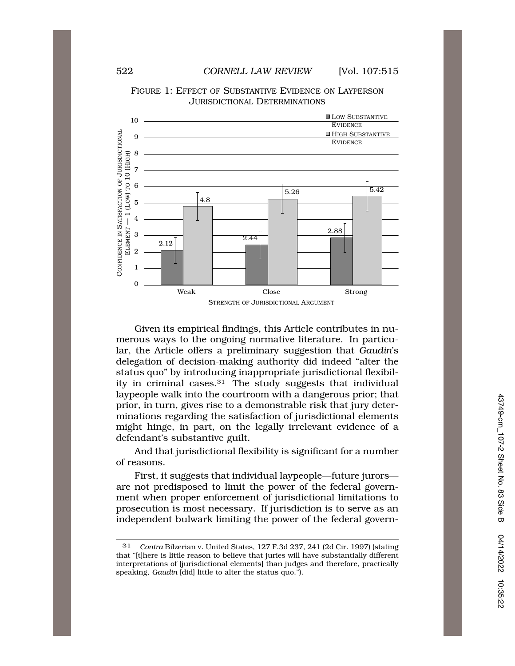

FIGURE 1: EFFECT OF SUBSTANTIVE EVIDENCE ON LAYPERSON JURISDICTIONAL DETERMINATIONS

Given its empirical findings, this Article contributes in numerous ways to the ongoing normative literature. In particular, the Article offers a preliminary suggestion that *Gaudin*'s delegation of decision-making authority did indeed "alter the status quo" by introducing inappropriate jurisdictional flexibility in criminal [cases.31](https://cases.31) The study suggests that individual laypeople walk into the courtroom with a dangerous prior; that prior, in turn, gives rise to a demonstrable risk that jury determinations regarding the satisfaction of jurisdictional elements might hinge, in part, on the legally irrelevant evidence of a defendant's substantive guilt.

And that jurisdictional flexibility is significant for a number of reasons.

First, it suggests that individual laypeople—future jurors are not predisposed to limit the power of the federal government when proper enforcement of jurisdictional limitations to prosecution is most necessary. If jurisdiction is to serve as an independent bulwark limiting the power of the federal govern-

<sup>31</sup> *Contra* Bilzerian v. United States, 127 F.3d 237, 241 (2d Cir. 1997) (stating that "[t]here is little reason to believe that juries will have substantially different interpretations of [jurisdictional elements] than judges and therefore, practically speaking, *Gaudin* [did] little to alter the status quo.").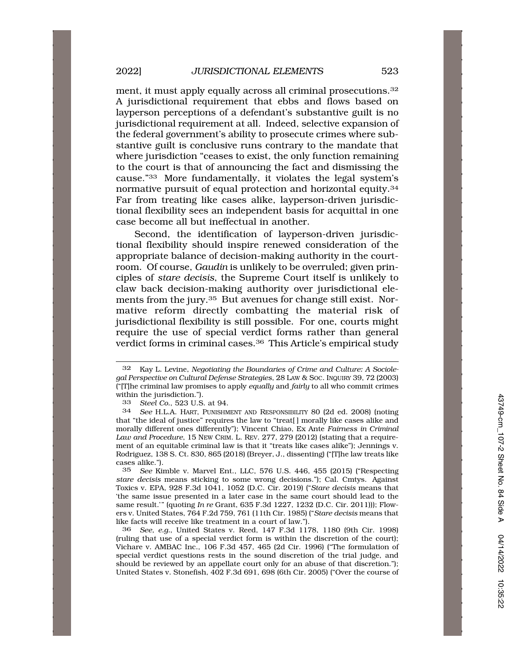ment, it must apply equally across all criminal prosecutions.<sup>32</sup> A jurisdictional requirement that ebbs and flows based on layperson perceptions of a defendant's substantive guilt is no jurisdictional requirement at all. Indeed, selective expansion of the federal government's ability to prosecute crimes where substantive guilt is conclusive runs contrary to the mandate that where jurisdiction "ceases to exist, the only function remaining to the court is that of announcing the fact and dismissing the cause."33 More fundamentally, it violates the legal system's normative pursuit of equal protection and horizontal [equity.34](https://equity.34)  Far from treating like cases alike, layperson-driven jurisdictional flexibility sees an independent basis for acquittal in one case become all but ineffectual in another.

Second, the identification of layperson-driven jurisdictional flexibility should inspire renewed consideration of the appropriate balance of decision-making authority in the courtroom. Of course, *Gaudin* is unlikely to be overruled; given principles of *stare decisis*, the Supreme Court itself is unlikely to claw back decision-making authority over jurisdictional elements from the jury.35 But avenues for change still exist. Normative reform directly combatting the material risk of jurisdictional flexibility is still possible. For one, courts might require the use of special verdict forms rather than general verdict forms in criminal [cases.36](https://cases.36) This Article's empirical study

36 *See, e.g.*, United States v. Reed, 147 F.3d 1178, 1180 (9th Cir. 1998) (ruling that use of a special verdict form is within the discretion of the court); Vichare v. AMBAC Inc., 106 F.3d 457, 465 (2d Cir. 1996) ("The formulation of special verdict questions rests in the sound discretion of the trial judge, and should be reviewed by an appellate court only for an abuse of that discretion."); United States v. Stonefish, 402 F.3d 691, 698 (6th Cir. 2005) ("Over the course of

<sup>32</sup> Kay L. Levine, *Negotiating the Boundaries of Crime and Culture: A Sociolegal Perspective on Cultural Defense Strategies*, 28 LAW & SOC. INQUIRY 39, 72 (2003) ("[T]he criminal law promises to apply *equally* and *fairly* to all who commit crimes within the jurisdiction.").<br> $33 \text{ Stel Co} 523 \text{ U.S}$ 

<sup>33</sup> *Steel Co.*, 523 U.S. at 94.

<sup>34</sup> *See* H.L.A. HART, PUNISHMENT AND RESPONSIBILITY 80 (2d ed. 2008) (noting that "the ideal of justice" requires the law to "treat[ ] morally like cases alike and morally different ones differently"); Vincent Chiao, Ex Ante *Fairness in Criminal Law and Procedure*, 15 NEW CRIM. L. REV. 277, 279 (2012) (stating that a requirement of an equitable criminal law is that it "treats like cases alike"); Jennings v. Rodriguez, 138 S. Ct. 830, 865 (2018) (Breyer, J., dissenting) ("[T]he law treats like cases alike.").

<sup>35</sup> *See* Kimble v. Marvel Ent., LLC, 576 U.S. 446, 455 (2015) ("Respecting *stare decisis* means sticking to some wrong decisions."); Cal. Cmtys. Against Toxics v. EPA, 928 F.3d 1041, 1052 (D.C. Cir. 2019) ("*Stare decisis* means that 'the same issue presented in a later case in the same court should lead to the same result.'" (quoting *In re* Grant, 635 F.3d 1227, 1232 (D.C. Cir. 2011))); Flowers v. United States, 764 F.2d 759, 761 (11th Cir. 1985) ("*Stare decisis* means that like facts will receive like treatment in a court of law.").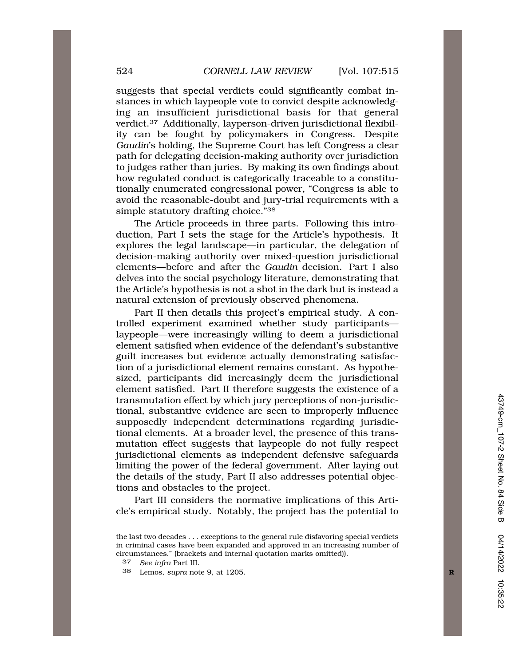suggests that special verdicts could significantly combat instances in which laypeople vote to convict despite acknowledging an insufficient jurisdictional basis for that general [verdict.37](https://verdict.37) Additionally, layperson-driven jurisdictional flexibility can be fought by policymakers in Congress. Despite *Gaudin*'s holding, the Supreme Court has left Congress a clear path for delegating decision-making authority over jurisdiction to judges rather than juries. By making its own findings about how regulated conduct is categorically traceable to a constitutionally enumerated congressional power, "Congress is able to avoid the reasonable-doubt and jury-trial requirements with a simple statutory drafting choice."<sup>38</sup>

The Article proceeds in three parts. Following this introduction, Part I sets the stage for the Article's hypothesis. It explores the legal landscape—in particular, the delegation of decision-making authority over mixed-question jurisdictional elements—before and after the *Gaudin* decision. Part I also delves into the social psychology literature, demonstrating that the Article's hypothesis is not a shot in the dark but is instead a natural extension of previously observed phenomena.

Part II then details this project's empirical study. A controlled experiment examined whether study participants laypeople—were increasingly willing to deem a jurisdictional element satisfied when evidence of the defendant's substantive guilt increases but evidence actually demonstrating satisfaction of a jurisdictional element remains constant. As hypothesized, participants did increasingly deem the jurisdictional element satisfied. Part II therefore suggests the existence of a transmutation effect by which jury perceptions of non-jurisdictional, substantive evidence are seen to improperly influence supposedly independent determinations regarding jurisdictional elements. At a broader level, the presence of this transmutation effect suggests that laypeople do not fully respect jurisdictional elements as independent defensive safeguards limiting the power of the federal government. After laying out the details of the study, Part II also addresses potential objections and obstacles to the project.

Part III considers the normative implications of this Article's empirical study. Notably, the project has the potential to

the last two decades . . . exceptions to the general rule disfavoring special verdicts in criminal cases have been expanded and approved in an increasing number of circumstances." (brackets and internal quotation marks omitted)).

<sup>37</sup> *See infra* Part III.

<sup>38</sup> Lemos, *supra* note 9, at 1205. **R**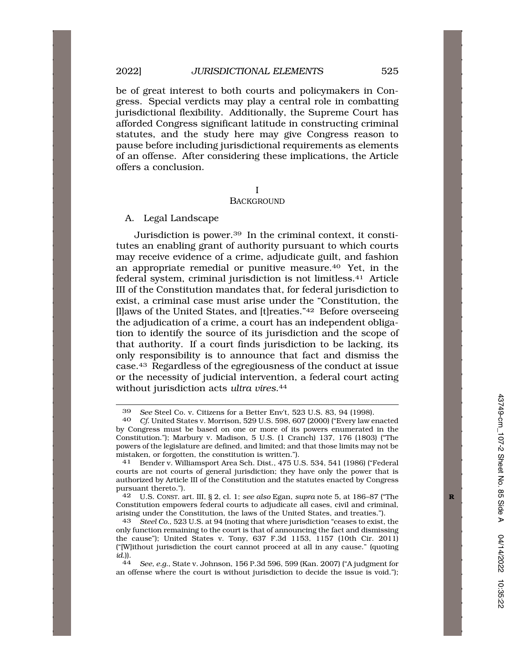be of great interest to both courts and policymakers in Congress. Special verdicts may play a central role in combatting jurisdictional flexibility. Additionally, the Supreme Court has afforded Congress significant latitude in constructing criminal statutes, and the study here may give Congress reason to pause before including jurisdictional requirements as elements of an offense. After considering these implications, the Article offers a conclusion.

I

#### **BACKGROUND**

A. Legal Landscape

Jurisdiction is [power.39](https://power.39) In the criminal context, it constitutes an enabling grant of authority pursuant to which courts may receive evidence of a crime, adjudicate guilt, and fashion an appropriate remedial or punitive [measure.40](https://measure.40) Yet, in the federal system, criminal jurisdiction is not [limitless.41](https://limitless.41) Article III of the Constitution mandates that, for federal jurisdiction to exist, a criminal case must arise under the "Constitution, the [l]aws of the United States, and [t]reaties."42 Before overseeing the adjudication of a crime, a court has an independent obligation to identify the source of its jurisdiction and the scope of that authority. If a court finds jurisdiction to be lacking, its only responsibility is to announce that fact and dismiss the case.43 Regardless of the egregiousness of the conduct at issue or the necessity of judicial intervention, a federal court acting without jurisdiction acts *ultra [vires](https://vires.44)*.44

<sup>39</sup> *See* Steel Co. v. Citizens for a Better Env't, 523 U.S. 83, 94 (1998).

<sup>40</sup> *Cf.* United States v. Morrison, 529 U.S. 598, 607 (2000) ("Every law enacted by Congress must be based on one or more of its powers enumerated in the Constitution."); Marbury v. Madison, 5 U.S. (1 Cranch) 137, 176 (1803) ("The powers of the legislature are defined, and limited; and that those limits may not be mistaken, or forgotten, the constitution is written.").<br>
<sup>41</sup> Bender v Williamsport Area Sch. Dist. 475 U

<sup>41</sup> Bender v. Williamsport Area Sch. Dist., 475 U.S. 534, 541 (1986) ("Federal courts are not courts of general jurisdiction; they have only the power that is authorized by Article III of the Constitution and the statutes enacted by Congress pursuant thereto.").

<sup>42</sup> U.S. CONST. art. III, § 2, cl. 1; *see also* Egan, *supra* note 5, at 186–87 ("The **R**  Constitution empowers federal courts to adjudicate all cases, civil and criminal, arising under the Constitution, the laws of the United States, and treaties.").

<sup>43</sup> *Steel Co.*, 523 U.S. at 94 (noting that where jurisdiction "ceases to exist, the only function remaining to the court is that of announcing the fact and dismissing the cause"); United States v. Tony, 637 F.3d 1153, 1157 (10th Cir. 2011) ("[W]ithout jurisdiction the court cannot proceed at all in any cause." (quoting *id.*)).

<sup>44</sup> *See, e.g.*, State v. Johnson, 156 P.3d 596, 599 (Kan. 2007) ("A judgment for an offense where the court is without jurisdiction to decide the issue is void.");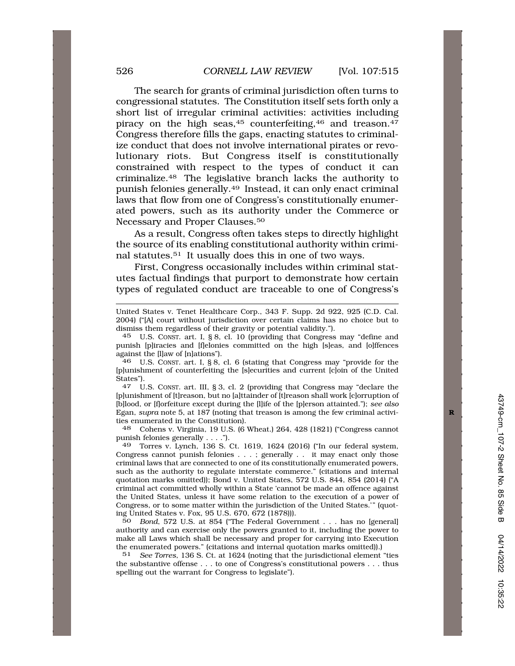The search for grants of criminal jurisdiction often turns to congressional statutes. The Constitution itself sets forth only a short list of irregular criminal activities: activities including piracy on the high seas,<sup>45</sup> counterfeiting,<sup>46</sup> and treason.<sup>47</sup> Congress therefore fills the gaps, enacting statutes to criminalize conduct that does not involve international pirates or revolutionary riots. But Congress itself is constitutionally constrained with respect to the types of conduct it can [criminalize.48](https://criminalize.48) The legislative branch lacks the authority to punish felonies [generally.49](https://generally.49) Instead, it can only enact criminal laws that flow from one of Congress's constitutionally enumerated powers, such as its authority under the Commerce or Necessary and Proper [Clauses.50](https://Clauses.50)

As a result, Congress often takes steps to directly highlight the source of its enabling constitutional authority within criminal [statutes.51](https://statutes.51) It usually does this in one of two ways.

First, Congress occasionally includes within criminal statutes factual findings that purport to demonstrate how certain types of regulated conduct are traceable to one of Congress's

United States v. Tenet Healthcare Corp., 343 F. Supp. 2d 922, 925 (C.D. Cal. 2004) ("[A] court without jurisdiction over certain claims has no choice but to dismiss them regardless of their gravity or potential validity.").

45 U.S. CONST. art. I, § 8, cl. 10 (providing that Congress may "define and punish [p]iracies and [f]elonies committed on the high [s]eas, and [o]ffences against the [l]aw of [n]ations").

 $46$  U.S. CONST. art. I, § 8, cl. 6 (stating that Congress may "provide for the [p]unishment of counterfeiting the [s]ecurities and current [c]oin of the United States").<br> $47$  II

U.S. CONST. art. III, § 3, cl. 2 (providing that Congress may "declare the [p]unishment of [t]reason, but no [a]ttainder of [t]reason shall work [c]orruption of [b]lood, or [f]orfeiture except during the [l]ife of the [p]erson attainted."); *see also*  Egan, *supra* note 5, at 187 (noting that treason is among the few criminal activi- **R**  ties enumerated in the Constitution).<br>48 Cohens v. Virginia. 19 U.S. (6)

48 Cohens v. Virginia, 19 U.S. (6 Wheat.) 264, 428 (1821) ("Congress cannot punish felonies generally . . . .").

49 Torres v. Lynch, 136 S. Ct. 1619, 1624 (2016) ("In our federal system, Congress cannot punish felonies . . . ; generally . . it may enact only those criminal laws that are connected to one of its constitutionally enumerated powers, such as the authority to regulate interstate commerce." (citations and internal quotation marks omitted)); Bond v. United States, 572 U.S. 844, 854 (2014) ("A criminal act committed wholly within a State 'cannot be made an offence against the United States, unless it have some relation to the execution of a power of Congress, or to some matter within the jurisdiction of the United States.'" (quoting United States v. Fox, 95 U.S. 670, 672 (1878))).

50 *Bond*, 572 U.S. at 854 ("The Federal Government . . . has no [general] authority and can exercise only the powers granted to it, including the power to make all Laws which shall be necessary and proper for carrying into Execution the enumerated powers." (citations and internal quotation marks omitted)).)<br>51 See Torres. 136 S. Ct. at 1624 (noting that the jurisdictional element

See Torres, 136 S. Ct. at 1624 (noting that the jurisdictional element "ties the substantive offense . . . to one of Congress's constitutional powers . . . thus spelling out the warrant for Congress to legislate").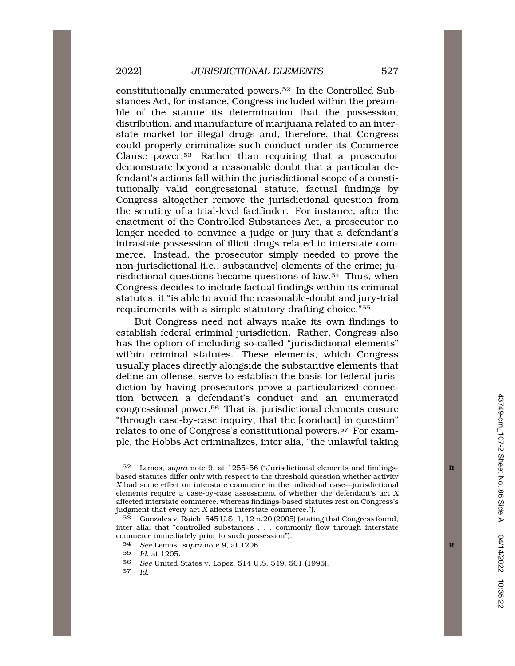constitutionally enumerated [powers.52](https://powers.52) In the Controlled Substances Act, for instance, Congress included within the preamble of the statute its determination that the possession, distribution, and manufacture of marijuana related to an interstate market for illegal drugs and, therefore, that Congress could properly criminalize such conduct under its Commerce Clause [power.53](https://power.53) Rather than requiring that a prosecutor demonstrate beyond a reasonable doubt that a particular defendant's actions fall within the jurisdictional scope of a constitutionally valid congressional statute, factual findings by Congress altogether remove the jurisdictional question from the scrutiny of a trial-level factfinder. For instance, after the enactment of the Controlled Substances Act, a prosecutor no longer needed to convince a judge or jury that a defendant's intrastate possession of illicit drugs related to interstate commerce. Instead, the prosecutor simply needed to prove the non-jurisdictional (i.e., substantive) elements of the crime; jurisdictional questions became questions of law.54 Thus, when Congress decides to include factual findings within its criminal statutes, it "is able to avoid the reasonable-doubt and jury-trial requirements with a simple statutory drafting choice."55

But Congress need not always make its own findings to establish federal criminal jurisdiction. Rather, Congress also has the option of including so-called "jurisdictional elements" within criminal statutes. These elements, which Congress usually places directly alongside the substantive elements that define an offense, serve to establish the basis for federal jurisdiction by having prosecutors prove a particularized connection between a defendant's conduct and an enumerated congressional [power.56](https://power.56) That is, jurisdictional elements ensure "through case-by-case inquiry, that the [conduct] in question" relates to one of Congress's constitutional [powers.57](https://powers.57) For example, the Hobbs Act criminalizes, inter alia, "the unlawful taking

<sup>52</sup> Lemos, *supra* note 9, at 1255–56 ("Jurisdictional elements and findings- **R**  based statutes differ only with respect to the threshold question whether activity *X* had some effect on interstate commerce in the individual case—jurisdictional elements require a case-by-case assessment of whether the defendant's act *X*  affected interstate commerce, whereas findings-based statutes rest on Congress's judgment that every act *X* affects interstate commerce.").

<sup>53</sup> Gonzales v. Raich, 545 U.S. 1, 12 n.20 (2005) (stating that Congress found, inter alia, that "controlled substances . . . commonly flow through interstate commerce immediately prior to such possession").

<sup>54</sup> *See* Lemos, *supra* note 9, at 1206. **R** 

<sup>55</sup> *Id.* at 1205.

<sup>56</sup> *See* United States v. Lopez, 514 U.S. 549, 561 (1995).

<sup>57</sup> *Id.*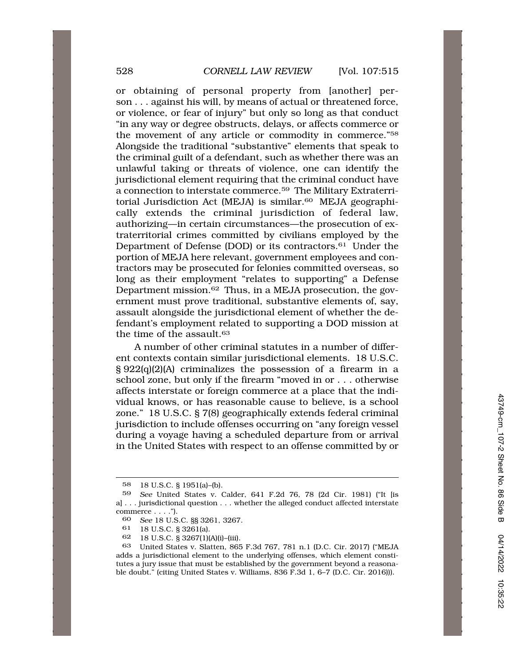or obtaining of personal property from [another] person . . . against his will, by means of actual or threatened force, or violence, or fear of injury" but only so long as that conduct "in any way or degree obstructs, delays, or affects commerce or the movement of any article or commodity in commerce."58 Alongside the traditional "substantive" elements that speak to the criminal guilt of a defendant, such as whether there was an unlawful taking or threats of violence, one can identify the jurisdictional element requiring that the criminal conduct have a connection to interstate [commerce.59](https://commerce.59) The Military Extraterritorial Jurisdiction Act (MEJA) is similar.<sup>60</sup> MEJA geographically extends the criminal jurisdiction of federal law, authorizing—in certain circumstances—the prosecution of extraterritorial crimes committed by civilians employed by the Department of Defense (DOD) or its [contractors.61](https://contractors.61) Under the portion of MEJA here relevant, government employees and contractors may be prosecuted for felonies committed overseas, so long as their employment "relates to supporting" a Defense Department [mission.62](https://mission.62) Thus, in a MEJA prosecution, the government must prove traditional, substantive elements of, say, assault alongside the jurisdictional element of whether the defendant's employment related to supporting a DOD mission at the time of the assault.<sup>63</sup>

A number of other criminal statutes in a number of different contexts contain similar jurisdictional elements. 18 U.S.C. § 922(q)(2)(A) criminalizes the possession of a firearm in a school zone, but only if the firearm "moved in or . . . otherwise affects interstate or foreign commerce at a place that the individual knows, or has reasonable cause to believe, is a school zone." 18 U.S.C. § 7(8) geographically extends federal criminal jurisdiction to include offenses occurring on "any foreign vessel during a voyage having a scheduled departure from or arrival in the United States with respect to an offense committed by or

<sup>58 18</sup> U.S.C. § 1951(a)–(b).

<sup>59</sup> *See* United States v. Calder, 641 F.2d 76, 78 (2d Cir. 1981) ("It [is a] . . . jurisdictional question . . . whether the alleged conduct affected interstate commerce . . . .").

<sup>60</sup> *See* 18 U.S.C. §§ 3261, 3267.

<sup>61 18</sup> U.S.C. § 3261(a).

<sup>62 18</sup> U.S.C. § 3267(1)(A)(i)–(iii).

<sup>63</sup> United States v. Slatten, 865 F.3d 767, 781 n.1 (D.C. Cir. 2017) ("MEJA adds a jurisdictional element to the underlying offenses, which element constitutes a jury issue that must be established by the government beyond a reasonable doubt." (citing United States v. Williams, 836 F.3d 1, 6–7 (D.C. Cir. 2016))).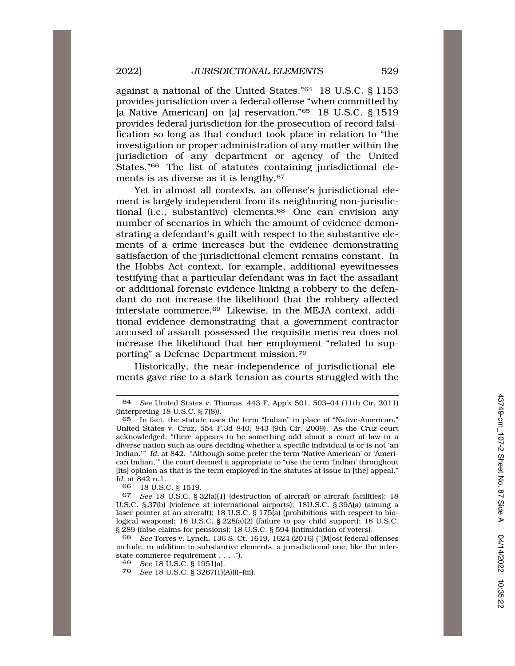against a national of the United States."64 18 U.S.C. § 1153 provides jurisdiction over a federal offense "when committed by [a Native American] on [a] reservation."65 18 U.S.C. § 1519 provides federal jurisdiction for the prosecution of record falsification so long as that conduct took place in relation to "the investigation or proper administration of any matter within the jurisdiction of any department or agency of the United States."<sup>66</sup> The list of statutes containing jurisdictional elements is as diverse as it is [lengthy.67](https://lengthy.67) 

Yet in almost all contexts, an offense's jurisdictional element is largely independent from its neighboring non-jurisdictional (i.e., substantive) elements.<sup>68</sup> One can envision any number of scenarios in which the amount of evidence demonstrating a defendant's guilt with respect to the substantive elements of a crime increases but the evidence demonstrating satisfaction of the jurisdictional element remains constant. In the Hobbs Act context, for example, additional eyewitnesses testifying that a particular defendant was in fact the assailant or additional forensic evidence linking a robbery to the defendant do not increase the likelihood that the robbery affected interstate [commerce.69](https://commerce.69) Likewise, in the MEJA context, additional evidence demonstrating that a government contractor accused of assault possessed the requisite mens rea does not increase the likelihood that her employment "related to supporting" a Defense Department [mission.70](https://mission.70) 

Historically, the near-independence of jurisdictional elements gave rise to a stark tension as courts struggled with the

18 U.S.C. § 1519.

<sup>64</sup> *See* United States v. Thomas, 443 F. App'x 501, 503–04 (11th Cir. 2011) (interpreting 18 U.S.C. § 7(8)).

In fact, the statute uses the term "Indian" in place of "Native-American." United States v. Cruz, 554 F.3d 840, 843 (9th Cir. 2009). As the *Cruz* court acknowledged, "there appears to be something odd about a court of law in a diverse nation such as ours deciding whether a specific individual is or is not 'an Indian.'" *Id.* at 842. "Although some prefer the term 'Native American' or 'American Indian,'" the court deemed it appropriate to "use the term 'Indian' throughout [its] opinion as that is the term employed in the statutes at issue in [the] appeal." *Id.* at 842 n.1.<br>66 18 U.S.

<sup>67</sup> *See* 18 U.S.C. § 32(a)(1) (destruction of aircraft or aircraft facilities); 18 U.S.C. § 37(b) (violence at international airports); 18U.S.C. § 39A(a) (aiming a laser pointer at an aircraft); 18 U.S.C. § 175(a) (prohibitions with respect to biological weapons); 18 U.S.C. § 228(a)(2) (failure to pay child support); 18 U.S.C. § 289 (false claims for pensions); 18 U.S.C. § 594 (intimidation of voters).

<sup>68</sup> *See* Torres v. Lynch, 136 S. Ct. 1619, 1624 (2016) ("[M]ost federal offenses include, in addition to substantive elements, a jurisdictional one, like the interstate commerce requirement . . . .").

<sup>69</sup> *See* 18 U.S.C. § 1951(a).

<sup>70</sup> *See* 18 U.S.C. § 3267(1)(A)(i)–(iii).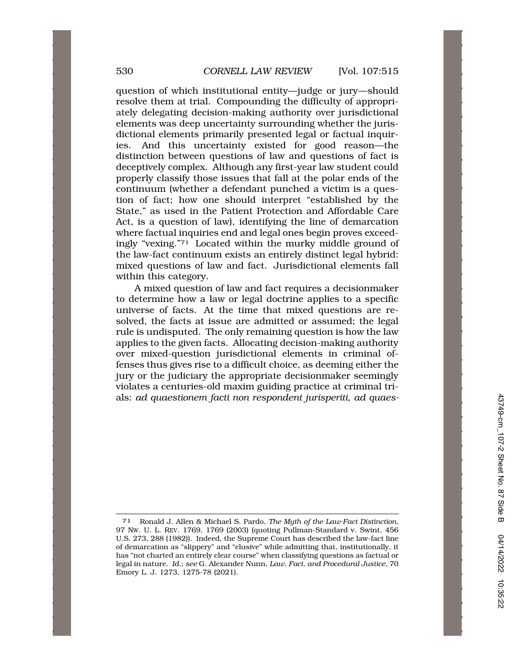question of which institutional entity—judge or jury—should resolve them at trial. Compounding the difficulty of appropriately delegating decision-making authority over jurisdictional elements was deep uncertainty surrounding whether the jurisdictional elements primarily presented legal or factual inquiries. And this uncertainty existed for good reason—the distinction between questions of law and questions of fact is deceptively complex. Although any first-year law student could properly classify those issues that fall at the polar ends of the continuum (whether a defendant punched a victim is a question of fact; how one should interpret "established by the State," as used in the Patient Protection and Affordable Care Act, is a question of law), identifying the line of demarcation where factual inquiries end and legal ones begin proves exceedingly "vexing."71 Located within the murky middle ground of the law-fact continuum exists an entirely distinct legal hybrid: mixed questions of law and fact. Jurisdictional elements fall within this category.

A mixed question of law and fact requires a decisionmaker to determine how a law or legal doctrine applies to a specific universe of facts. At the time that mixed questions are resolved, the facts at issue are admitted or assumed; the legal rule is undisputed. The only remaining question is how the law applies to the given facts. Allocating decision-making authority over mixed-question jurisdictional elements in criminal offenses thus gives rise to a difficult choice, as deeming either the jury or the judiciary the appropriate decisionmaker seemingly violates a centuries-old maxim guiding practice at criminal trials: *ad quaestionem facti non respondent jurisperiti, ad quaes-*

<sup>71</sup> Ronald J. Allen & Michael S. Pardo, *The Myth of the Law-Fact Distinction*, 97 NW. U. L. REV. 1769, 1769 (2003) (quoting Pullman-Standard v. Swint, 456 U.S. 273, 288 (1982)). Indeed, the Supreme Court has described the law-fact line of demarcation as "slippery" and "elusive" while admitting that, institutionally, it has "not charted an entirely clear course" when classifying questions as factual or legal in nature. *Id.*; *see* G. Alexander Nunn, *Law, Fact, and Procedural Justice*, 70 Emory L. J. 1273, 1275-78 (2021).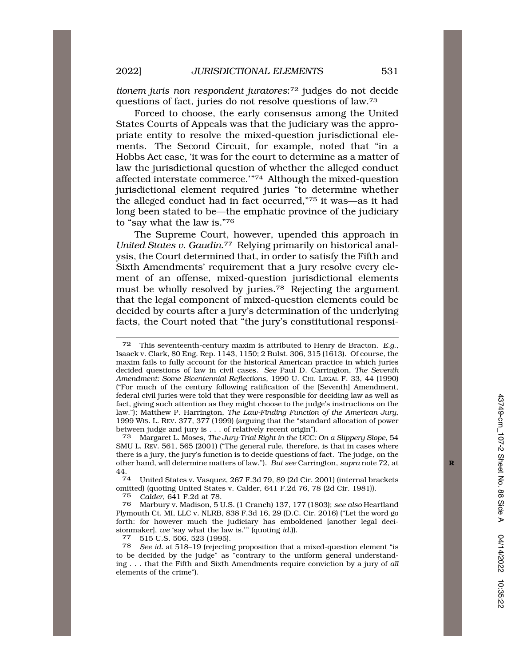*tionem juris non respondent juratores*:72 judges do not decide questions of fact, juries do not resolve questions of law.73

Forced to choose, the early consensus among the United States Courts of Appeals was that the judiciary was the appropriate entity to resolve the mixed-question jurisdictional elements. The Second Circuit, for example, noted that "in a Hobbs Act case, 'it was for the court to determine as a matter of law the jurisdictional question of whether the alleged conduct affected interstate commerce.'"74 Although the mixed-question jurisdictional element required juries "to determine whether the alleged conduct had in fact occurred,"75 it was—as it had long been stated to be—the emphatic province of the judiciary to "say what the law is."76

The Supreme Court, however, upended this approach in *United States v. [Gaudin](https://Gaudin.77)*.77 Relying primarily on historical analysis, the Court determined that, in order to satisfy the Fifth and Sixth Amendments' requirement that a jury resolve every element of an offense, mixed-question jurisdictional elements must be wholly resolved by [juries.78](https://juries.78) Rejecting the argument that the legal component of mixed-question elements could be decided by courts after a jury's determination of the underlying facts, the Court noted that "the jury's constitutional responsi-

73 Margaret L. Moses, *The Jury-Trial Right in the UCC: On a Slippery Slope*, 54 SMU L. REV. 561, 565 (2001) ("The general rule, therefore, is that in cases where there is a jury, the jury's function is to decide questions of fact. The judge, on the other hand, will determine matters of law."). *But see* Carrington, *supra* note 72, at **R**  44.

74 United States v. Vasquez, 267 F.3d 79, 89 (2d Cir. 2001) (internal brackets omitted) (quoting United States v. Calder, 641 F.2d 76, 78 (2d Cir. 1981)).

75 *Calder*, 641 F.2d at 78.

76 Marbury v. Madison, 5 U.S. (1 Cranch) 137, 177 (1803); *see also* Heartland Plymouth Ct. MI, LLC v. NLRB, 838 F.3d 16, 29 (D.C. Cir. 2016) ("Let the word go forth: for however much the judiciary has emboldened [another legal decisionmaker], *we* 'say what the law is.'" (quoting *id.*)). 77 515 U.S. 506, 523 (1995).

<sup>72</sup> This seventeenth-century maxim is attributed to Henry de Bracton. *E.g.*, Isaack v. Clark, 80 Eng. Rep. 1143, 1150; 2 Bulst. 306, 315 (1613). Of course, the maxim fails to fully account for the historical American practice in which juries decided questions of law in civil cases. *See* Paul D. Carrington, *The Seventh Amendment: Some Bicentennial Reflections*, 1990 U. CHI. LEGAL F. 33, 44 (1990) ("For much of the century following ratification of the [Seventh] Amendment, federal civil juries were told that they were responsible for deciding law as well as fact, giving such attention as they might choose to the judge's instructions on the law."); Matthew P. Harrington, *The Law-Finding Function of the American Jury*, 1999 WIS. L. REV. 377, 377 (1999) (arguing that the "standard allocation of power between judge and jury is . . . of relatively recent origin").

<sup>78</sup> *See id.* at 518–19 (rejecting proposition that a mixed-question element "is to be decided by the judge" as "contrary to the uniform general understanding . . . that the Fifth and Sixth Amendments require conviction by a jury of *all*  elements of the crime").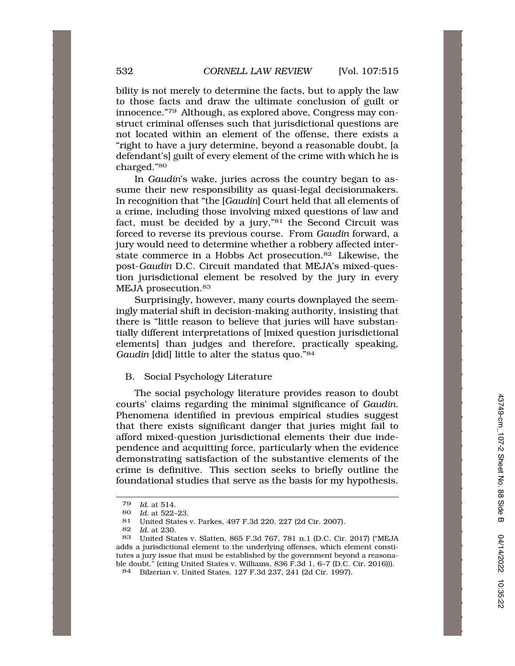bility is not merely to determine the facts, but to apply the law to those facts and draw the ultimate conclusion of guilt or innocence."79 Although, as explored above, Congress may construct criminal offenses such that jurisdictional questions are not located within an element of the offense, there exists a "right to have a jury determine, beyond a reasonable doubt, [a defendant's] guilt of every element of the crime with which he is charged."80

In *Gaudin*'s wake, juries across the country began to assume their new responsibility as quasi-legal decisionmakers. In recognition that "the [*Gaudin*] Court held that all elements of a crime, including those involving mixed questions of law and fact, must be decided by a jury,"81 the Second Circuit was forced to reverse its previous course. From *Gaudin* forward, a jury would need to determine whether a robbery affected interstate commerce in a Hobbs Act [prosecution.82](https://prosecution.82) Likewise, the post-*Gaudin* D.C. Circuit mandated that MEJA's mixed-question jurisdictional element be resolved by the jury in every MEJA prosecution.<sup>83</sup>

Surprisingly, however, many courts downplayed the seemingly material shift in decision-making authority, insisting that there is "little reason to believe that juries will have substantially different interpretations of [mixed question jurisdictional elements] than judges and therefore, practically speaking, *Gaudin* [did] little to alter the status quo."<sup>84</sup>

## B. Social Psychology Literature

The social psychology literature provides reason to doubt courts' claims regarding the minimal significance of *Gaudin*. Phenomena identified in previous empirical studies suggest that there exists significant danger that juries might fail to afford mixed-question jurisdictional elements their due independence and acquitting force, particularly when the evidence demonstrating satisfaction of the substantive elements of the crime is definitive. This section seeks to briefly outline the foundational studies that serve as the basis for my hypothesis.

<sup>79</sup> *Id.* at 514.

<sup>80</sup> *Id.* at 522–23.

<sup>81</sup> United States v. Parkes, 497 F.3d 220, 227 (2d Cir. 2007).<br>82 Id at 230

<sup>82</sup> *Id.* at 230.

<sup>83</sup> United States v. Slatten, 865 F.3d 767, 781 n.1 (D.C. Cir. 2017) ("MEJA adds a jurisdictional element to the underlying offenses, which element constitutes a jury issue that must be established by the government beyond a reasonable doubt." (citing United States v. Williams, 836 F.3d 1, 6–7 (D.C. Cir. 2016))).

<sup>84</sup> Bilzerian v. United States, 127 F.3d 237, 241 (2d Cir. 1997).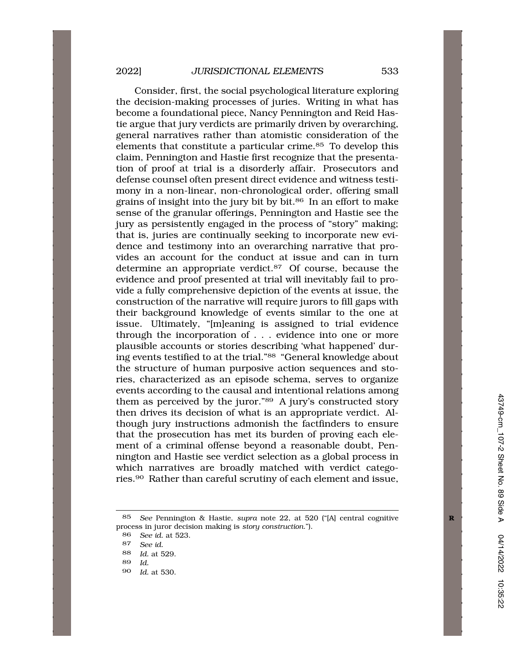Consider, first, the social psychological literature exploring the decision-making processes of juries. Writing in what has become a foundational piece, Nancy Pennington and Reid Hastie argue that jury verdicts are primarily driven by overarching, general narratives rather than atomistic consideration of the elements that constitute a particular crime.<sup>85</sup> To develop this claim, Pennington and Hastie first recognize that the presentation of proof at trial is a disorderly affair. Prosecutors and defense counsel often present direct evidence and witness testimony in a non-linear, non-chronological order, offering small grains of insight into the jury bit by bit.86 In an effort to make sense of the granular offerings, Pennington and Hastie see the jury as persistently engaged in the process of "story" making; that is, juries are continually seeking to incorporate new evidence and testimony into an overarching narrative that provides an account for the conduct at issue and can in turn determine an appropriate [verdict.87](https://verdict.87) Of course, because the evidence and proof presented at trial will inevitably fail to provide a fully comprehensive depiction of the events at issue, the construction of the narrative will require jurors to fill gaps with their background knowledge of events similar to the one at issue. Ultimately, "[m]eaning is assigned to trial evidence through the incorporation of . . . evidence into one or more plausible accounts or stories describing 'what happened' during events testified to at the trial."88 "General knowledge about the structure of human purposive action sequences and stories, characterized as an episode schema, serves to organize events according to the causal and intentional relations among them as perceived by the juror."89 A jury's constructed story then drives its decision of what is an appropriate verdict. Although jury instructions admonish the factfinders to ensure that the prosecution has met its burden of proving each element of a criminal offense beyond a reasonable doubt, Pennington and Hastie see verdict selection as a global process in which narratives are broadly matched with verdict categories.90 Rather than careful scrutiny of each element and issue,

<sup>85</sup> *See* Pennington & Hastie, *supra* note 22, at 520 ("[A] central cognitive **R**  process in juror decision making is *story construction*.").

<sup>86</sup> *See id.* at 523.

<sup>87</sup> *See id.* 

<sup>88</sup> *Id.* at 529.

<sup>89</sup> *Id.* 

<sup>90</sup> *Id.* at 530.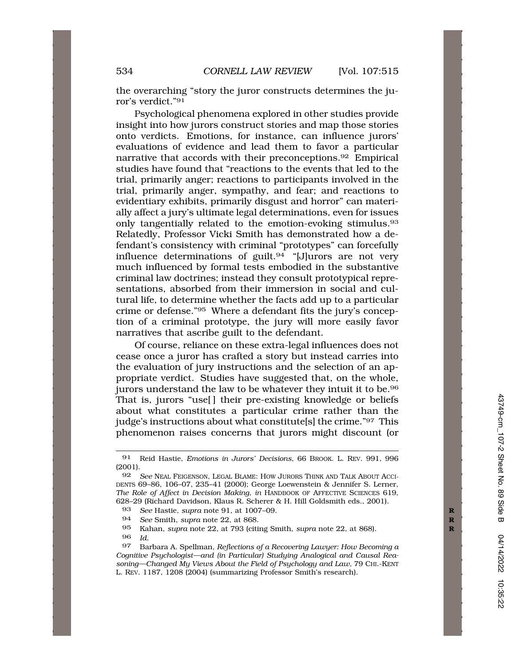the overarching "story the juror constructs determines the juror's verdict."91

Psychological phenomena explored in other studies provide insight into how jurors construct stories and map those stories onto verdicts. Emotions, for instance, can influence jurors' evaluations of evidence and lead them to favor a particular narrative that accords with their [preconceptions.92](https://preconceptions.92) Empirical studies have found that "reactions to the events that led to the trial, primarily anger; reactions to participants involved in the trial, primarily anger, sympathy, and fear; and reactions to evidentiary exhibits, primarily disgust and horror" can materially affect a jury's ultimate legal determinations, even for issues only tangentially related to the emotion-evoking [stimulus.93](https://stimulus.93)  Relatedly, Professor Vicki Smith has demonstrated how a defendant's consistency with criminal "prototypes" can forcefully influence determinations of guilt. $94$  "[J]urors are not very much influenced by formal tests embodied in the substantive criminal law doctrines; instead they consult prototypical representations, absorbed from their immersion in social and cultural life, to determine whether the facts add up to a particular crime or defense."95 Where a defendant fits the jury's conception of a criminal prototype, the jury will more easily favor narratives that ascribe guilt to the defendant.

Of course, reliance on these extra-legal influences does not cease once a juror has crafted a story but instead carries into the evaluation of jury instructions and the selection of an appropriate verdict. Studies have suggested that, on the whole, jurors understand the law to be whatever they intuit it to be.<sup>96</sup> That is, jurors "use[ ] their pre-existing knowledge or beliefs about what constitutes a particular crime rather than the judge's instructions about what constitute[s] the crime."97 This phenomenon raises concerns that jurors might discount (or

- 95 Kahan, *supra* note 22, at 793 (citing Smith, *supra* note 22, at 868). **R**
- *Id.*

<sup>91</sup> Reid Hastie, *Emotions in Jurors' Decisions*, 66 BROOK. L. REV. 991, 996 (2001).

<sup>92</sup> *See* NEAL FEIGENSON, LEGAL BLAME: HOW JURORS THINK AND TALK ABOUT ACCI-DENTS 69–86, 106–07, 235–41 (2000); George Loewenstein & Jennifer S. Lerner, *The Role of Affect in Decision Making*, *in* HANDBOOK OF AFFECTIVE SCIENCES 619, 628–29 (Richard Davidson, Klaus R. Scherer & H. Hill Goldsmith eds., 2001).

<sup>93</sup> *See* Hastie, *supra* note 91, at 1007–09.<br>94 *See* Smith, *supra* note 22, at 868.

See Smith, *supra* note 22, at 868.

<sup>97</sup> Barbara A. Spellman, *Reflections of a Recovering Lawyer: How Becoming a Cognitive Psychologist—and (in Particular) Studying Analogical and Causal Reasoning—Changed My Views About the Field of Psychology and Law,* 79 CHI.-KENT L. REV. 1187, 1208 (2004) (summarizing Professor Smith's research).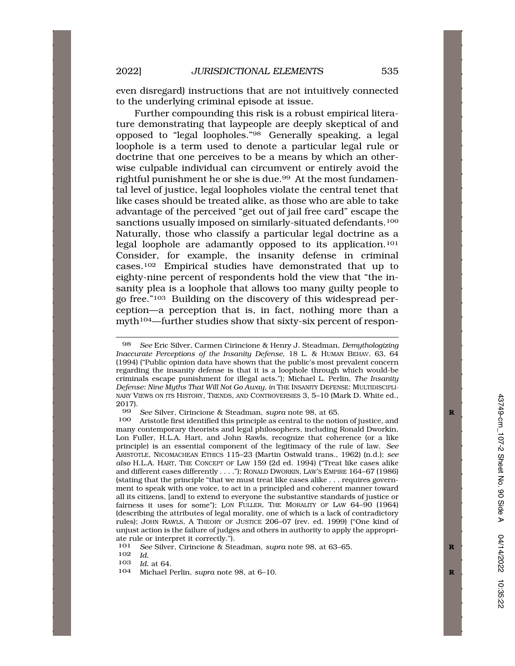even disregard) instructions that are not intuitively connected to the underlying criminal episode at issue.

Further compounding this risk is a robust empirical literature demonstrating that laypeople are deeply skeptical of and opposed to "legal loopholes."98 Generally speaking, a legal loophole is a term used to denote a particular legal rule or doctrine that one perceives to be a means by which an otherwise culpable individual can circumvent or entirely avoid the rightful punishment he or she is due.99 At the most fundamental level of justice, legal loopholes violate the central tenet that like cases should be treated alike, as those who are able to take advantage of the perceived "get out of jail free card" escape the sanctions usually imposed on similarly-situated defendants.<sup>100</sup> Naturally, those who classify a particular legal doctrine as a legal loophole are adamantly opposed to its application.101 Consider, for example, the insanity defense in criminal cases.102 Empirical studies have demonstrated that up to eighty-nine percent of respondents hold the view that "the insanity plea is a loophole that allows too many guilty people to go free."103 Building on the discovery of this widespread perception—a perception that is, in fact, nothing more than a myth<sup>104</sup>—further studies show that sixty-six percent of respon-

<sup>98</sup> *See* Eric Silver, Carmen Cirincione & Henry J. Steadman, *Demythologizing Inaccurate Perceptions of the Insanity Defense*, 18 L. & HUMAN BEHAV. 63, 64 (1994) ("Public opinion data have shown that the public's most prevalent concern regarding the insanity defense is that it is a loophole through which would-be criminals escape punishment for illegal acts."); Michael L. Perlin, *The Insanity Defense: Nine Myths That Will Not Go Away, in* THE INSANITY DEFENSE: MULTIDISCIPLI-NARY VIEWS ON ITS HISTORY, TRENDS, AND CONTROVERSIES 3, 5–10 (Mark D. White ed.,  $\frac{2017}{99}$ .

<sup>99</sup> *See* Silver, Cirincione & Steadman, *supra* note 98, at 65. **R** 

Aristotle first identified this principle as central to the notion of justice, and many contemporary theorists and legal philosophers, including Ronald Dworkin, Lon Fuller, H.L.A. Hart, and John Rawls, recognize that coherence (or a like principle) is an essential component of the legitimacy of the rule of law. *See*  ARISTOTLE, NICOMACHEAN ETHICS 115–23 (Martin Ostwald trans., 1962) (n.d.); *see also* H.L.A. HART, THE CONCEPT OF LAW 159 (2d ed. 1994) ("Treat like cases alike and different cases differently . . . ."); RONALD DWORKIN, LAW'S EMPIRE 164–67 (1986) (stating that the principle "that we must treat like cases alike . . . requires government to speak with one voice, to act in a principled and coherent manner toward all its citizens, [and] to extend to everyone the substantive standards of justice or fairness it uses for some"); LON FULLER, THE MORALITY OF LAW 64–90 (1964) (describing the attributes of legal morality, one of which is a lack of contradictory rules); JOHN RAWLS, A THEORY OF JUSTICE 206–07 (rev. ed. 1999) ("One kind of unjust action is the failure of judges and others in authority to apply the appropriate rule or interpret it correctly.").<br>101 See Silver Cirincione & Ste

<sup>101</sup> *See* Silver, Cirincione & Steadman, *supra* note 98, at 63–65. **R** 

<sup>102</sup> *Id.* 

<sup>103</sup> *Id.* at 64.

<sup>104</sup> Michael Perlin, *supra* note 98, at 6-10.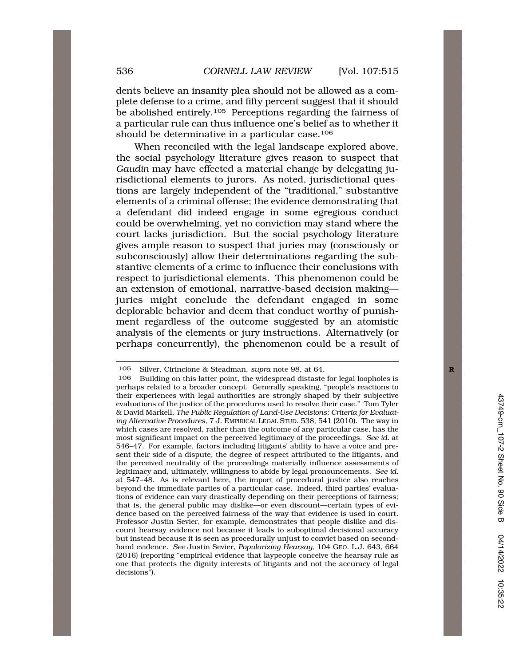dents believe an insanity plea should not be allowed as a complete defense to a crime, and fifty percent suggest that it should be abolished entirely.<sup>105</sup> Perceptions regarding the fairness of a particular rule can thus influence one's belief as to whether it should be determinative in a particular case.106

When reconciled with the legal landscape explored above, the social psychology literature gives reason to suspect that *Gaudin* may have effected a material change by delegating jurisdictional elements to jurors. As noted, jurisdictional questions are largely independent of the "traditional," substantive elements of a criminal offense; the evidence demonstrating that a defendant did indeed engage in some egregious conduct could be overwhelming, yet no conviction may stand where the court lacks jurisdiction. But the social psychology literature gives ample reason to suspect that juries may (consciously or subconsciously) allow their determinations regarding the substantive elements of a crime to influence their conclusions with respect to jurisdictional elements. This phenomenon could be an extension of emotional, narrative-based decision making juries might conclude the defendant engaged in some deplorable behavior and deem that conduct worthy of punishment regardless of the outcome suggested by an atomistic analysis of the elements or jury instructions. Alternatively (or perhaps concurrently), the phenomenon could be a result of

<sup>105</sup> Silver, Cirincione & Steadman, *supra* note 98, at 64. **R** 

<sup>106</sup> Building on this latter point, the widespread distaste for legal loopholes is perhaps related to a broader concept. Generally speaking, "people's reactions to their experiences with legal authorities are strongly shaped by their subjective evaluations of the justice of the procedures used to resolve their case." Tom Tyler & David Markell, *The Public Regulation of Land-Use Decisions: Criteria for Evaluating Alternative Procedures*, 7 J. EMPIRICAL LEGAL STUD. 538, 541 (2010). The way in which cases are resolved, rather than the outcome of any particular case, has the most significant impact on the perceived legitimacy of the proceedings. *See id.* at 546–47. For example, factors including litigants' ability to have a voice and present their side of a dispute, the degree of respect attributed to the litigants, and the perceived neutrality of the proceedings materially influence assessments of legitimacy and, ultimately, willingness to abide by legal pronouncements. *See id.*  at 547–48. As is relevant here, the import of procedural justice also reaches beyond the immediate parties of a particular case. Indeed, third parties' evaluations of evidence can vary drastically depending on their perceptions of fairness; that is, the general public may dislike—or even discount—certain types of evidence based on the perceived fairness of the way that evidence is used in court. Professor Justin Sevier, for example, demonstrates that people dislike and discount hearsay evidence not because it leads to suboptimal decisional accuracy but instead because it is seen as procedurally unjust to convict based on secondhand evidence. *See* Justin Sevier, *Popularizing Hearsay*, 104 GEO. L.J. 643, 664 (2016) (reporting "empirical evidence that laypeople conceive the hearsay rule as one that protects the dignity interests of litigants and not the accuracy of legal decisions").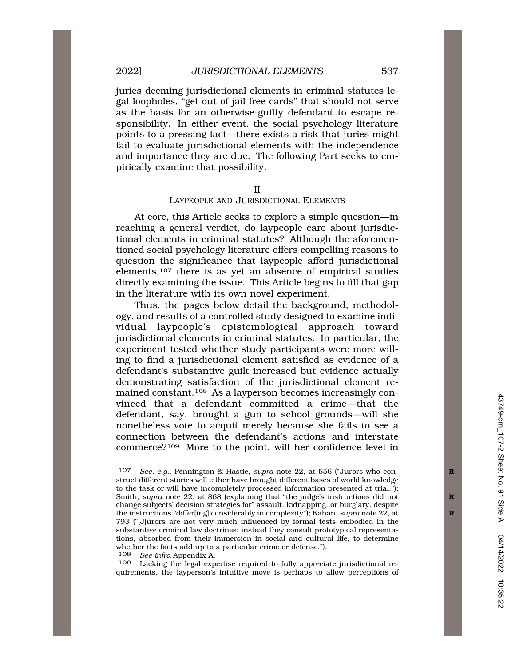juries deeming jurisdictional elements in criminal statutes legal loopholes, "get out of jail free cards" that should not serve as the basis for an otherwise-guilty defendant to escape responsibility. In either event, the social psychology literature points to a pressing fact—there exists a risk that juries might fail to evaluate jurisdictional elements with the independence and importance they are due. The following Part seeks to empirically examine that possibility.

II

## LAYPEOPLE AND JURISDICTIONAL ELEMENTS

At core, this Article seeks to explore a simple question—in reaching a general verdict, do laypeople care about jurisdictional elements in criminal statutes? Although the aforementioned social psychology literature offers compelling reasons to question the significance that laypeople afford jurisdictional elements,107 there is as yet an absence of empirical studies directly examining the issue. This Article begins to fill that gap in the literature with its own novel experiment.

Thus, the pages below detail the background, methodology, and results of a controlled study designed to examine individual laypeople's epistemological approach toward jurisdictional elements in criminal statutes. In particular, the experiment tested whether study participants were more willing to find a jurisdictional element satisfied as evidence of a defendant's substantive guilt increased but evidence actually demonstrating satisfaction of the jurisdictional element remained constant.108 As a layperson becomes increasingly convinced that a defendant committed a crime—that the defendant, say, brought a gun to school grounds—will she nonetheless vote to acquit merely because she fails to see a connection between the defendant's actions and interstate commerce?109 More to the point, will her confidence level in

108 *See infra* Appendix A.

Lacking the legal expertise required to fully appreciate jurisdictional requirements, the layperson's intuitive move is perhaps to allow perceptions of

<sup>107</sup> *See, e.g.*, Pennington & Hastie, *supra* note 22, at 556 ("Jurors who con- **R**  struct different stories will either have brought different bases of world knowledge to the task or will have incompletely processed information presented at trial."); Smith, *supra* note 22, at 868 (explaining that "the judge's instructions did not change subjects' decision strategies for" assault, kidnapping, or burglary, despite the instructions "differ[ing] considerably in complexity"); Kahan, *supra* note 22, at **R**  793 ("[J]urors are not very much influenced by formal tests embodied in the substantive criminal law doctrines; instead they consult prototypical representations, absorbed from their immersion in social and cultural life, to determine whether the facts add up to a particular crime or defense.").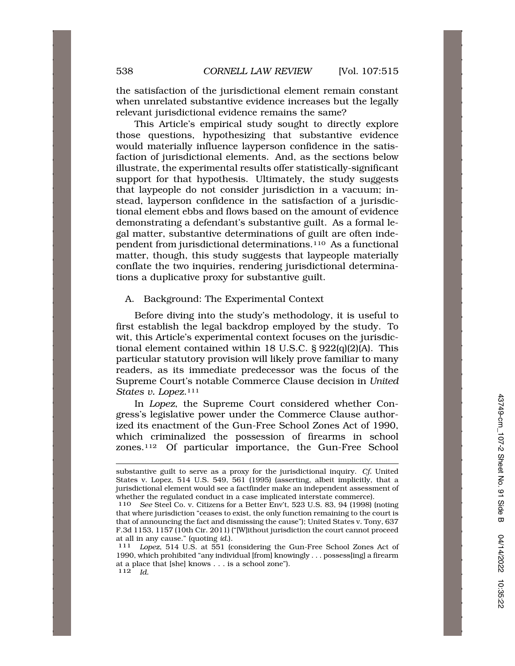the satisfaction of the jurisdictional element remain constant when unrelated substantive evidence increases but the legally relevant jurisdictional evidence remains the same?

This Article's empirical study sought to directly explore those questions, hypothesizing that substantive evidence would materially influence layperson confidence in the satisfaction of jurisdictional elements. And, as the sections below illustrate, the experimental results offer statistically-significant support for that hypothesis. Ultimately, the study suggests that laypeople do not consider jurisdiction in a vacuum; instead, layperson confidence in the satisfaction of a jurisdictional element ebbs and flows based on the amount of evidence demonstrating a defendant's substantive guilt. As a formal legal matter, substantive determinations of guilt are often independent from jurisdictional determinations.110 As a functional matter, though, this study suggests that laypeople materially conflate the two inquiries, rendering jurisdictional determinations a duplicative proxy for substantive guilt.

A. Background: The Experimental Context

Before diving into the study's methodology, it is useful to first establish the legal backdrop employed by the study. To wit, this Article's experimental context focuses on the jurisdictional element contained within 18 U.S.C. § 922(q)(2)(A). This particular statutory provision will likely prove familiar to many readers, as its immediate predecessor was the focus of the Supreme Court's notable Commerce Clause decision in *United States v. Lopez*.111

In *Lopez*, the Supreme Court considered whether Congress's legislative power under the Commerce Clause authorized its enactment of the Gun-Free School Zones Act of 1990, which criminalized the possession of firearms in school zones.112 Of particular importance, the Gun-Free School

substantive guilt to serve as a proxy for the jurisdictional inquiry. *Cf.* United States v. Lopez, 514 U.S. 549, 561 (1995) (asserting, albeit implicitly, that a jurisdictional element would see a factfinder make an independent assessment of whether the regulated conduct in a case implicated interstate commerce).<br>110 See Steel Co. v. Citizens for a Better Env't. 523 U.S. 83, 94 (1998)

See Steel Co. v. Citizens for a Better Env't, 523 U.S. 83, 94 (1998) (noting that where jurisdiction "ceases to exist, the only function remaining to the court is that of announcing the fact and dismissing the cause"); United States v. Tony, 637 F.3d 1153, 1157 (10th Cir. 2011) ("[W]ithout jurisdiction the court cannot proceed at all in any cause." (quoting *id.*). 111 *Lopez*, 514 U.S. at 551 (considering the Gun-Free School Zones Act of

<sup>1990,</sup> which prohibited "any individual [from] knowingly . . . possess[ing] a firearm at a place that [she] knows . . . is a school zone").  $112 \over d$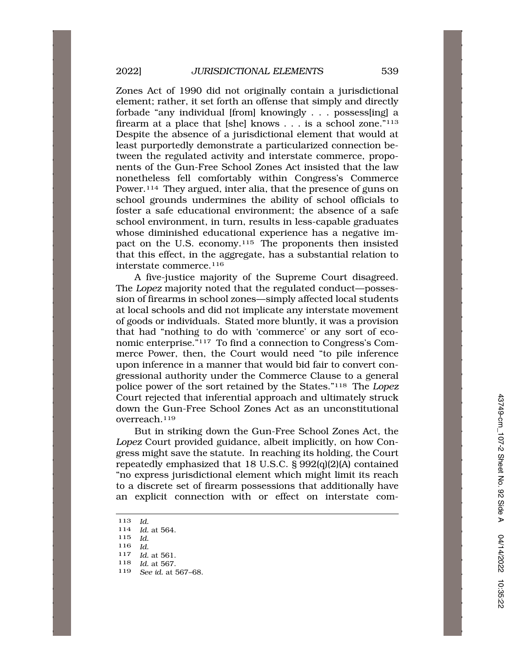Zones Act of 1990 did not originally contain a jurisdictional element; rather, it set forth an offense that simply and directly forbade "any individual [from] knowingly . . . possess[ing] a firearm at a place that [she] knows . . . is a school zone."113 Despite the absence of a jurisdictional element that would at least purportedly demonstrate a particularized connection between the regulated activity and interstate commerce, proponents of the Gun-Free School Zones Act insisted that the law nonetheless fell comfortably within Congress's Commerce Power.114 They argued, inter alia, that the presence of guns on school grounds undermines the ability of school officials to foster a safe educational environment; the absence of a safe school environment, in turn, results in less-capable graduates whose diminished educational experience has a negative impact on the U.S. economy.<sup>115</sup> The proponents then insisted that this effect, in the aggregate, has a substantial relation to interstate commerce.116

A five-justice majority of the Supreme Court disagreed. The *Lopez* majority noted that the regulated conduct—possession of firearms in school zones—simply affected local students at local schools and did not implicate any interstate movement of goods or individuals. Stated more bluntly, it was a provision that had "nothing to do with 'commerce' or any sort of economic enterprise."117 To find a connection to Congress's Commerce Power, then, the Court would need "to pile inference upon inference in a manner that would bid fair to convert congressional authority under the Commerce Clause to a general police power of the sort retained by the States."118 The *Lopez*  Court rejected that inferential approach and ultimately struck down the Gun-Free School Zones Act as an unconstitutional overreach.119

But in striking down the Gun-Free School Zones Act, the *Lopez* Court provided guidance, albeit implicitly, on how Congress might save the statute. In reaching its holding, the Court repeatedly emphasized that 18 U.S.C. § 992(q)(2)(A) contained "no express jurisdictional element which might limit its reach to a discrete set of firearm possessions that additionally have an explicit connection with or effect on interstate com-

<sup>116</sup>*Id.* 117 *Id.* at 561.

<sup>113</sup>*Id.* 114 *Id.* at 564.

<sup>115</sup> *Id.* 

<sup>118</sup> *Id.* at 567.

<sup>119</sup> *See id.* at 567–68.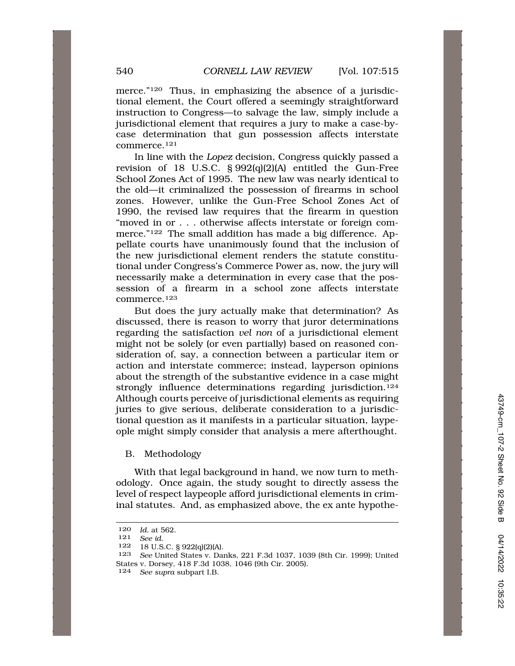merce."120 Thus, in emphasizing the absence of a jurisdictional element, the Court offered a seemingly straightforward instruction to Congress—to salvage the law, simply include a jurisdictional element that requires a jury to make a case-bycase determination that gun possession affects interstate commerce.121

In line with the *Lopez* decision, Congress quickly passed a revision of 18 U.S.C. § 992(q)(2)(A) entitled the Gun-Free School Zones Act of 1995. The new law was nearly identical to the old—it criminalized the possession of firearms in school zones. However, unlike the Gun-Free School Zones Act of 1990, the revised law requires that the firearm in question "moved in or . . . otherwise affects interstate or foreign commerce."122 The small addition has made a big difference. Appellate courts have unanimously found that the inclusion of the new jurisdictional element renders the statute constitutional under Congress's Commerce Power as, now, the jury will necessarily make a determination in every case that the possession of a firearm in a school zone affects interstate commerce.123

But does the jury actually make that determination? As discussed, there is reason to worry that juror determinations regarding the satisfaction *vel non* of a jurisdictional element might not be solely (or even partially) based on reasoned consideration of, say, a connection between a particular item or action and interstate commerce; instead, layperson opinions about the strength of the substantive evidence in a case might strongly influence determinations regarding jurisdiction.<sup>124</sup> Although courts perceive of jurisdictional elements as requiring juries to give serious, deliberate consideration to a jurisdictional question as it manifests in a particular situation, laypeople might simply consider that analysis a mere afterthought.

## B. Methodology

With that legal background in hand, we now turn to methodology. Once again, the study sought to directly assess the level of respect laypeople afford jurisdictional elements in criminal statutes. And, as emphasized above, the ex ante hypothe-

122 18 U.S.C. § 922(q)(2)(A).

<sup>120</sup> *Id.* at 562.<br>121 *See id.* 

<sup>121</sup> *See id.* 

<sup>123</sup> *See* United States v. Danks, 221 F.3d 1037, 1039 (8th Cir. 1999); United States v. Dorsey, 418 F.3d 1038, 1046 (9th Cir. 2005).

<sup>124</sup> *See supra* subpart I.B.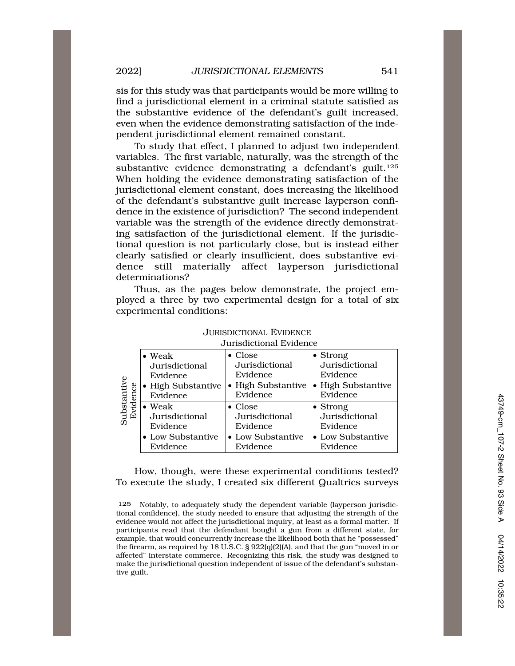sis for this study was that participants would be more willing to find a jurisdictional element in a criminal statute satisfied as the substantive evidence of the defendant's guilt increased, even when the evidence demonstrating satisfaction of the independent jurisdictional element remained constant.

To study that effect, I planned to adjust two independent variables. The first variable, naturally, was the strength of the substantive evidence demonstrating a defendant's guilt.<sup>125</sup> When holding the evidence demonstrating satisfaction of the jurisdictional element constant, does increasing the likelihood of the defendant's substantive guilt increase layperson confidence in the existence of jurisdiction? The second independent variable was the strength of the evidence directly demonstrating satisfaction of the jurisdictional element. If the jurisdictional question is not particularly close, but is instead either clearly satisfied or clearly insufficient, does substantive evidence still materially affect layperson jurisdictional determinations?

Thus, as the pages below demonstrate, the project employed a three by two experimental design for a total of six experimental conditions:

|                        | $\bullet$ Weak     | $\bullet$ Close    | $\bullet$ Strong   |  |  |  |
|------------------------|--------------------|--------------------|--------------------|--|--|--|
| Substantiv<br>Evidence | Jurisdictional     | Jurisdictional     | Jurisdictional     |  |  |  |
|                        | Evidence           | Evidence           | Evidence           |  |  |  |
|                        | • High Substantive | • High Substantive | • High Substantive |  |  |  |
|                        | Evidence           | Evidence           | Evidence           |  |  |  |
|                        | $\bullet$ Weak     | $\bullet$ Close    | $\bullet$ Strong   |  |  |  |
|                        | Jurisdictional     | Jurisdictional     | Jurisdictional     |  |  |  |
|                        | Evidence           | Evidence           | Evidence           |  |  |  |
|                        | • Low Substantive  | • Low Substantive  | • Low Substantive  |  |  |  |
|                        | Evidence           | Evidence           | Evidence           |  |  |  |

JURISDICTIONAL EVIDENCE Jurisdictional Evidence

How, though, were these experimental conditions tested? To execute the study, I created six different Qualtrics surveys

Notably, to adequately study the dependent variable (layperson jurisdictional confidence), the study needed to ensure that adjusting the strength of the evidence would not affect the jurisdictional inquiry, at least as a formal matter. If participants read that the defendant bought a gun from a different state, for example, that would concurrently increase the likelihood both that he "possessed" the firearm, as required by 18 U.S.C. § 922(q)(2)(A), and that the gun "moved in or affected" interstate commerce. Recognizing this risk, the study was designed to make the jurisdictional question independent of issue of the defendant's substantive guilt. 125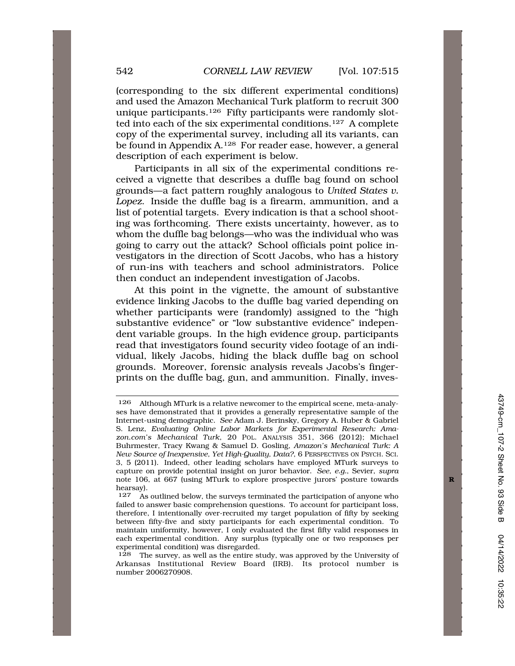(corresponding to the six different experimental conditions) and used the Amazon Mechanical Turk platform to recruit 300 unique participants.126 Fifty participants were randomly slotted into each of the six experimental conditions.127 A complete copy of the experimental survey, including all its variants, can be found in Appendix A.128 For reader ease, however, a general description of each experiment is below.

Participants in all six of the experimental conditions received a vignette that describes a duffle bag found on school grounds—a fact pattern roughly analogous to *United States v. Lopez*. Inside the duffle bag is a firearm, ammunition, and a list of potential targets. Every indication is that a school shooting was forthcoming. There exists uncertainty, however, as to whom the duffle bag belongs—who was the individual who was going to carry out the attack? School officials point police investigators in the direction of Scott Jacobs, who has a history of run-ins with teachers and school administrators. Police then conduct an independent investigation of Jacobs.

At this point in the vignette, the amount of substantive evidence linking Jacobs to the duffle bag varied depending on whether participants were (randomly) assigned to the "high substantive evidence" or "low substantive evidence" independent variable groups. In the high evidence group, participants read that investigators found security video footage of an individual, likely Jacobs, hiding the black duffle bag on school grounds. Moreover, forensic analysis reveals Jacobs's fingerprints on the duffle bag, gun, and ammunition. Finally, inves-

<sup>126</sup> Although MTurk is a relative newcomer to the empirical scene, meta-analyses have demonstrated that it provides a generally representative sample of the Internet-using demographic. *See* Adam J. Berinsky, Gregory A. Huber & Gabriel S. Lenz, *Evaluating Online Labor Markets for Experimental Research: Amazon.com's Mechanical Turk*, 20 POL. ANALYSIS 351, 366 (2012); Michael Buhrmester, Tracy Kwang & Samuel D. Gosling, *Amazon's Mechanical Turk: A New Source of Inexpensive, Yet High-Quality, Data?*, 6 PERSPECTIVES ON PSYCH. SCI. 3, 5 (2011). Indeed, other leading scholars have employed MTurk surveys to capture on provide potential insight on juror behavior. *See, e.g.*, Sevier, *supra*  note 106, at 667 (using MTurk to explore prospective jurors' posture towards hearsay).<br> $127 \text{ As}$ 

As outlined below, the surveys terminated the participation of anyone who failed to answer basic comprehension questions. To account for participant loss, therefore, I intentionally over-recruited my target population of fifty by seeking between fifty-five and sixty participants for each experimental condition. To maintain uniformity, however, I only evaluated the first fifty valid responses in each experimental condition. Any surplus (typically one or two responses per experimental condition) was disregarded.

<sup>128</sup> The survey, as well as the entire study, was approved by the University of Arkansas Institutional Review Board (IRB). Its protocol number is number 2006270908.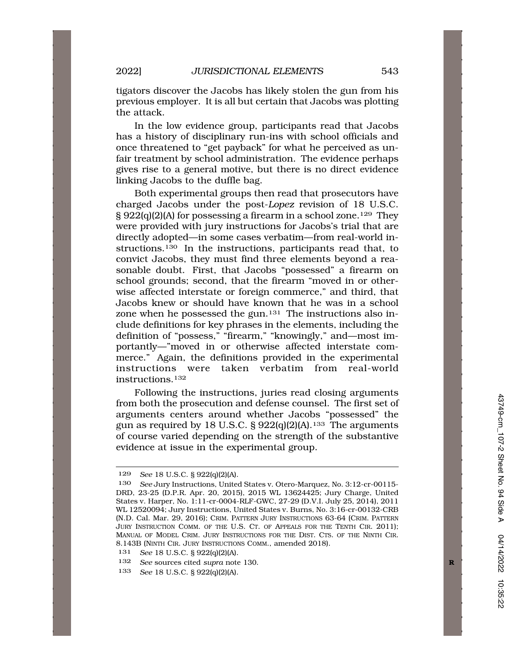tigators discover the Jacobs has likely stolen the gun from his previous employer. It is all but certain that Jacobs was plotting the attack.

In the low evidence group, participants read that Jacobs has a history of disciplinary run-ins with school officials and once threatened to "get payback" for what he perceived as unfair treatment by school administration. The evidence perhaps gives rise to a general motive, but there is no direct evidence linking Jacobs to the duffle bag.

Both experimental groups then read that prosecutors have charged Jacobs under the post-*Lopez* revision of 18 U.S.C. § 922(q)(2)(A) for possessing a firearm in a school zone.129 They were provided with jury instructions for Jacobs's trial that are directly adopted—in some cases verbatim—from real-world instructions.130 In the instructions, participants read that, to convict Jacobs, they must find three elements beyond a reasonable doubt. First, that Jacobs "possessed" a firearm on school grounds; second, that the firearm "moved in or otherwise affected interstate or foreign commerce," and third, that Jacobs knew or should have known that he was in a school zone when he possessed the gun.<sup>131</sup> The instructions also include definitions for key phrases in the elements, including the definition of "possess," "firearm," "knowingly," and—most importantly—"moved in or otherwise affected interstate commerce." Again, the definitions provided in the experimental instructions were taken verbatim from real-world instructions.132

Following the instructions, juries read closing arguments from both the prosecution and defense counsel. The first set of arguments centers around whether Jacobs "possessed" the gun as required by 18 U.S.C.  $\S 922(q)(2)(A)$ .<sup>133</sup> The arguments of course varied depending on the strength of the substantive evidence at issue in the experimental group.

<sup>129</sup> *See* 18 U.S.C. § 922(q)(2)(A).

<sup>130</sup> *See* Jury Instructions, United States v. Otero-Marquez, No. 3:12-cr-00115- DRD, 23-25 (D.P.R. Apr. 20, 2015), 2015 WL 13624425; Jury Charge, United States v. Harper, No. 1:11-cr-0004-RLF-GWC, 27-29 (D.V.I. July 25, 2014), 2011 WL 12520094; Jury Instructions, United States v. Burns, No. 3:16-cr-00132-CRB (N.D. Cal. Mar. 29, 2016); CRIM. PATTERN JURY INSTRUCTIONS 63-64 (CRIM. PATTERN JURY INSTRUCTION COMM. OF THE U.S. CT. OF APPEALS FOR THE TENTH CIR. 2011); MANUAL OF MODEL CRIM. JURY INSTRUCTIONS FOR THE DIST. CTS. OF THE NINTH CIR. 8.143B (NINTH CIR. JURY INSTRUCTIONS COMM., amended 2018).

<sup>131</sup> *See* 18 U.S.C. § 922(q)(2)(A).

<sup>132</sup> *See* sources cited *supra* note 130.

<sup>133</sup> *See* 18 U.S.C. § 922(q)(2)(A).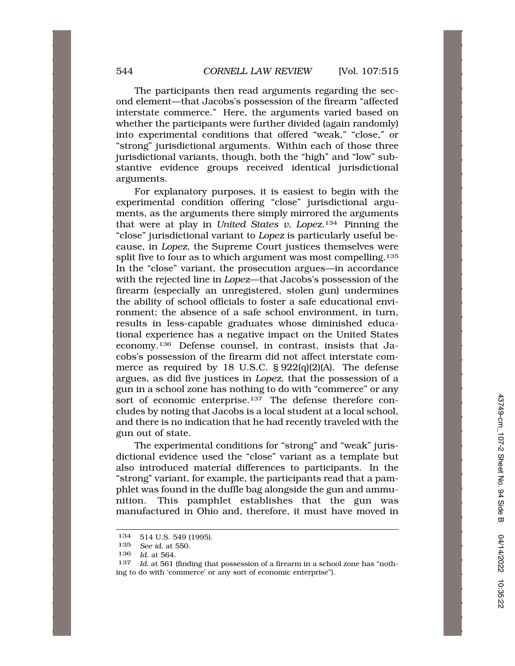The participants then read arguments regarding the second element—that Jacobs's possession of the firearm "affected interstate commerce." Here, the arguments varied based on whether the participants were further divided (again randomly) into experimental conditions that offered "weak," "close," or "strong" jurisdictional arguments. Within each of those three jurisdictional variants, though, both the "high" and "low" substantive evidence groups received identical jurisdictional arguments.

For explanatory purposes, it is easiest to begin with the experimental condition offering "close" jurisdictional arguments, as the arguments there simply mirrored the arguments that were at play in *United States v. Lopez*.134 Pinning the "close" jurisdictional variant to *Lopez* is particularly useful because, in *Lopez*, the Supreme Court justices themselves were split five to four as to which argument was most compelling.<sup>135</sup> In the "close" variant, the prosecution argues—in accordance with the rejected line in *Lopez*—that Jacobs's possession of the firearm (especially an unregistered, stolen gun) undermines the ability of school officials to foster a safe educational environment; the absence of a safe school environment, in turn, results in less-capable graduates whose diminished educational experience has a negative impact on the United States economy.136 Defense counsel, in contrast, insists that Jacobs's possession of the firearm did not affect interstate commerce as required by 18 U.S.C. § 922(q)(2)(A). The defense argues, as did five justices in *Lopez*, that the possession of a gun in a school zone has nothing to do with "commerce" or any sort of economic enterprise.<sup>137</sup> The defense therefore concludes by noting that Jacobs is a local student at a local school, and there is no indication that he had recently traveled with the gun out of state.

The experimental conditions for "strong" and "weak" jurisdictional evidence used the "close" variant as a template but also introduced material differences to participants. In the "strong" variant, for example, the participants read that a pamphlet was found in the duffle bag alongside the gun and ammunition. This pamphlet establishes that the gun was manufactured in Ohio and, therefore, it must have moved in

<sup>134 514</sup> U.S. 549 (1995).

<sup>135</sup> *See id.* at 550.

<sup>136</sup> *Id.* at 564.

<sup>137</sup> *Id.* at 561 (finding that possession of a firearm in a school zone has "nothing to do with 'commerce' or any sort of economic enterprise").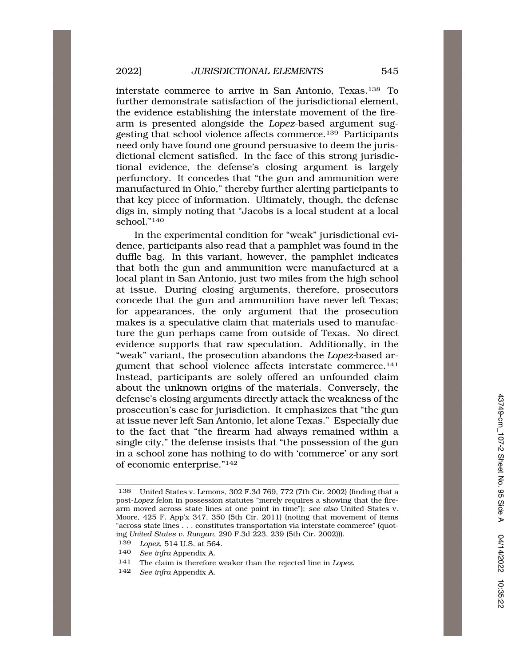interstate commerce to arrive in San Antonio, Texas.138 To further demonstrate satisfaction of the jurisdictional element, the evidence establishing the interstate movement of the firearm is presented alongside the *Lopez*-based argument suggesting that school violence affects commerce.139 Participants need only have found one ground persuasive to deem the jurisdictional element satisfied. In the face of this strong jurisdictional evidence, the defense's closing argument is largely perfunctory. It concedes that "the gun and ammunition were manufactured in Ohio," thereby further alerting participants to that key piece of information. Ultimately, though, the defense digs in, simply noting that "Jacobs is a local student at a local school."140

In the experimental condition for "weak" jurisdictional evidence, participants also read that a pamphlet was found in the duffle bag. In this variant, however, the pamphlet indicates that both the gun and ammunition were manufactured at a local plant in San Antonio, just two miles from the high school at issue. During closing arguments, therefore, prosecutors concede that the gun and ammunition have never left Texas; for appearances, the only argument that the prosecution makes is a speculative claim that materials used to manufacture the gun perhaps came from outside of Texas. No direct evidence supports that raw speculation. Additionally, in the "weak" variant, the prosecution abandons the *Lopez-*based argument that school violence affects interstate commerce.<sup>141</sup> Instead, participants are solely offered an unfounded claim about the unknown origins of the materials. Conversely, the defense's closing arguments directly attack the weakness of the prosecution's case for jurisdiction. It emphasizes that "the gun at issue never left San Antonio, let alone Texas." Especially due to the fact that "the firearm had always remained within a single city," the defense insists that "the possession of the gun in a school zone has nothing to do with 'commerce' or any sort of economic enterprise."142

142 *See infra* Appendix A.

<sup>138</sup> United States v. Lemons, 302 F.3d 769, 772 (7th Cir. 2002) (finding that a post-*Lopez* felon in possession statutes "merely requires a showing that the firearm moved across state lines at one point in time"); *see also* United States v. Moore, 425 F. App'x 347, 350 (5th Cir. 2011) (noting that movement of items "across state lines . . . constitutes transportation via interstate commerce" (quoting *United States v. Runyan*, 290 F.3d 223, 239 (5th Cir. 2002))).

<sup>139</sup> *Lopez*, 514 U.S. at 564.

<sup>140</sup> *See infra* Appendix A.

<sup>141</sup> The claim is therefore weaker than the rejected line in *Lopez*.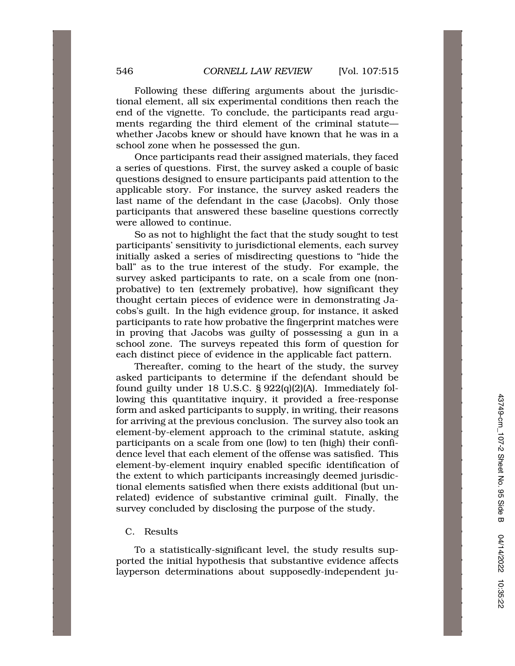Following these differing arguments about the jurisdictional element, all six experimental conditions then reach the end of the vignette. To conclude, the participants read arguments regarding the third element of the criminal statute whether Jacobs knew or should have known that he was in a school zone when he possessed the gun.

Once participants read their assigned materials, they faced a series of questions. First, the survey asked a couple of basic questions designed to ensure participants paid attention to the applicable story. For instance, the survey asked readers the last name of the defendant in the case (Jacobs). Only those participants that answered these baseline questions correctly were allowed to continue.

So as not to highlight the fact that the study sought to test participants' sensitivity to jurisdictional elements, each survey initially asked a series of misdirecting questions to "hide the ball" as to the true interest of the study. For example, the survey asked participants to rate, on a scale from one (nonprobative) to ten (extremely probative), how significant they thought certain pieces of evidence were in demonstrating Jacobs's guilt. In the high evidence group, for instance, it asked participants to rate how probative the fingerprint matches were in proving that Jacobs was guilty of possessing a gun in a school zone. The surveys repeated this form of question for each distinct piece of evidence in the applicable fact pattern.

Thereafter, coming to the heart of the study, the survey asked participants to determine if the defendant should be found guilty under 18 U.S.C. § 922(q)(2)(A). Immediately following this quantitative inquiry, it provided a free-response form and asked participants to supply, in writing, their reasons for arriving at the previous conclusion. The survey also took an element-by-element approach to the criminal statute, asking participants on a scale from one (low) to ten (high) their confidence level that each element of the offense was satisfied. This element-by-element inquiry enabled specific identification of the extent to which participants increasingly deemed jurisdictional elements satisfied when there exists additional (but unrelated) evidence of substantive criminal guilt. Finally, the survey concluded by disclosing the purpose of the study.

## C. Results

To a statistically-significant level, the study results supported the initial hypothesis that substantive evidence affects layperson determinations about supposedly-independent ju-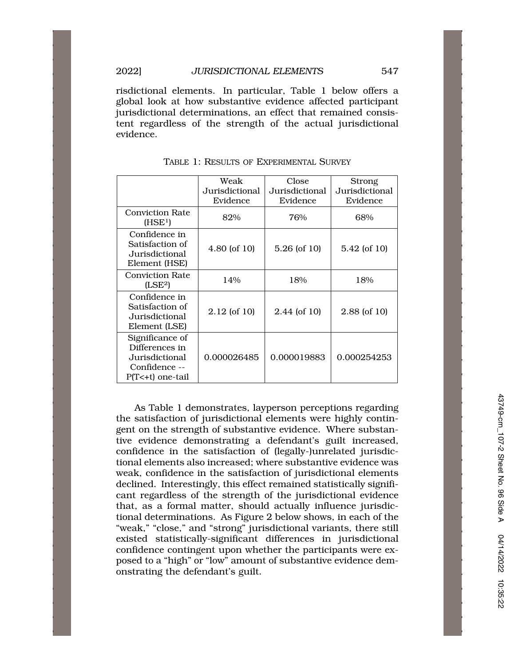risdictional elements. In particular, Table 1 below offers a global look at how substantive evidence affected participant jurisdictional determinations, an effect that remained consistent regardless of the strength of the actual jurisdictional evidence.

|                                                                                            | Weak<br>Jurisdictional<br>Evidence | Close<br>Jurisdictional<br>Evidence | <b>Strong</b><br>Jurisdictional<br>Evidence |
|--------------------------------------------------------------------------------------------|------------------------------------|-------------------------------------|---------------------------------------------|
| <b>Conviction Rate</b><br>(HSE <sup>1</sup> )                                              | 82%                                | 76%                                 | 68%                                         |
| Confidence in<br>Satisfaction of<br>Jurisdictional<br>Element (HSE)                        | $4.80$ (of 10)                     | $5.26$ (of 10)                      | 5.42 (of 10)                                |
| <b>Conviction Rate</b><br>(LSE <sup>2</sup> )                                              | 14%                                | 18%                                 | 18%                                         |
| Confidence in<br>Satisfaction of<br>Jurisdictional<br>Element (LSE)                        | $2.12$ (of 10)                     | $2.44$ (of 10)                      | 2.88 (of 10)                                |
| Significance of<br>Differences in<br>Jurisdictional<br>Confidence --<br>$P(T<+t)$ one-tail | 0.000026485                        | 0.000019883                         | 0.000254253                                 |

TABLE 1: RESULTS OF EXPERIMENTAL SURVEY

As Table 1 demonstrates, layperson perceptions regarding the satisfaction of jurisdictional elements were highly contingent on the strength of substantive evidence. Where substantive evidence demonstrating a defendant's guilt increased, confidence in the satisfaction of (legally-)unrelated jurisdictional elements also increased; where substantive evidence was weak, confidence in the satisfaction of jurisdictional elements declined. Interestingly, this effect remained statistically significant regardless of the strength of the jurisdictional evidence that, as a formal matter, should actually influence jurisdictional determinations. As Figure 2 below shows, in each of the "weak," "close," and "strong" jurisdictional variants, there still existed statistically-significant differences in jurisdictional confidence contingent upon whether the participants were exposed to a "high" or "low" amount of substantive evidence demonstrating the defendant's guilt.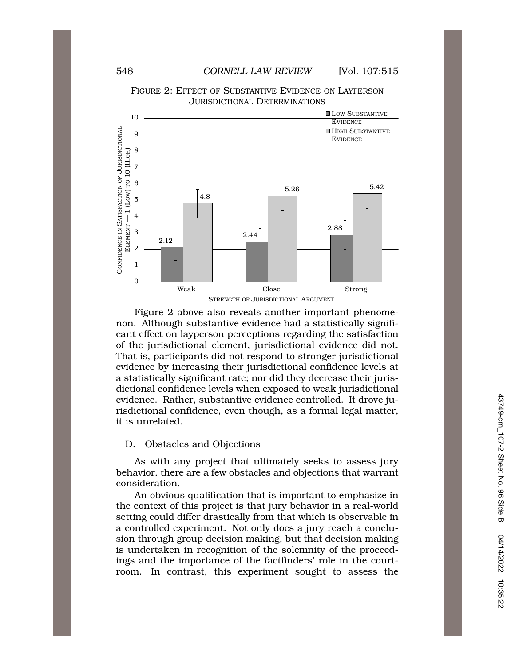

FIGURE 2: EFFECT OF SUBSTANTIVE EVIDENCE ON LAYPERSON JURISDICTIONAL DETERMINATIONS

Figure 2 above also reveals another important phenomenon. Although substantive evidence had a statistically significant effect on layperson perceptions regarding the satisfaction of the jurisdictional element, jurisdictional evidence did not. That is, participants did not respond to stronger jurisdictional evidence by increasing their jurisdictional confidence levels at a statistically significant rate; nor did they decrease their jurisdictional confidence levels when exposed to weak jurisdictional evidence. Rather, substantive evidence controlled. It drove jurisdictional confidence, even though, as a formal legal matter, it is unrelated.

## D. Obstacles and Objections

As with any project that ultimately seeks to assess jury behavior, there are a few obstacles and objections that warrant consideration.

An obvious qualification that is important to emphasize in the context of this project is that jury behavior in a real-world setting could differ drastically from that which is observable in a controlled experiment. Not only does a jury reach a conclusion through group decision making, but that decision making is undertaken in recognition of the solemnity of the proceedings and the importance of the factfinders' role in the courtroom. In contrast, this experiment sought to assess the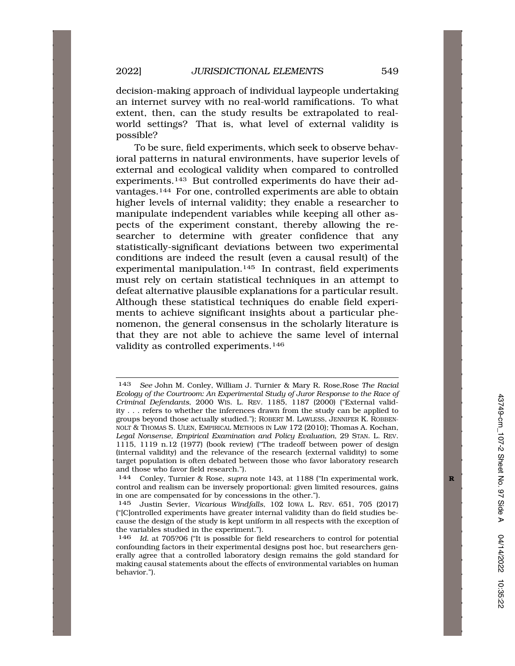decision-making approach of individual laypeople undertaking an internet survey with no real-world ramifications. To what extent, then, can the study results be extrapolated to realworld settings? That is, what level of external validity is possible?

To be sure, field experiments, which seek to observe behavioral patterns in natural environments, have superior levels of external and ecological validity when compared to controlled experiments.143 But controlled experiments do have their advantages.144 For one, controlled experiments are able to obtain higher levels of internal validity; they enable a researcher to manipulate independent variables while keeping all other aspects of the experiment constant, thereby allowing the researcher to determine with greater confidence that any statistically-significant deviations between two experimental conditions are indeed the result (even a causal result) of the experimental manipulation.145 In contrast, field experiments must rely on certain statistical techniques in an attempt to defeat alternative plausible explanations for a particular result. Although these statistical techniques do enable field experiments to achieve significant insights about a particular phenomenon, the general consensus in the scholarly literature is that they are not able to achieve the same level of internal validity as controlled experiments.146

<sup>143</sup> *See* John M. Conley, William J. Turnier & Mary R. Rose,Rose *The Racial Ecology of the Courtroom: An Experimental Study of Juror Response to the Race of Criminal Defendants*, 2000 WIS. L. REV. 1185, 1187 (2000) ("External validity . . . refers to whether the inferences drawn from the study can be applied to groups beyond those actually studied."); ROBERT M. LAWLESS, JENNIFER K. ROBBEN-NOLT & THOMAS S. ULEN, EMPIRICAL METHODS IN LAW 172 (2010); Thomas A. Kochan, *Legal Nonsense, Empirical Examination and Policy Evaluation*, 29 STAN. L. REV. 1115, 1119 n.12 (1977) (book review) ("The tradeoff between power of design (internal validity) and the relevance of the research (external validity) to some target population is often debated between those who favor laboratory research and those who favor field research.").

<sup>144</sup> Conley, Turnier & Rose, *supra* note 143, at 1188 ("In experimental work, **R**  control and realism can be inversely proportional: given limited resources, gains in one are compensated for by concessions in the other.").

<sup>145</sup> Justin Sevier, *Vicarious Windfalls*, 102 IOWA L. REV. 651, 705 (2017) ("[C]ontrolled experiments have greater internal validity than do field studies because the design of the study is kept uniform in all respects with the exception of the variables studied in the experiment.").

<sup>146</sup> *Id.* at 705?06 ("It is possible for field researchers to control for potential confounding factors in their experimental designs post hoc, but researchers generally agree that a controlled laboratory design remains the gold standard for making causal statements about the effects of environmental variables on human behavior.").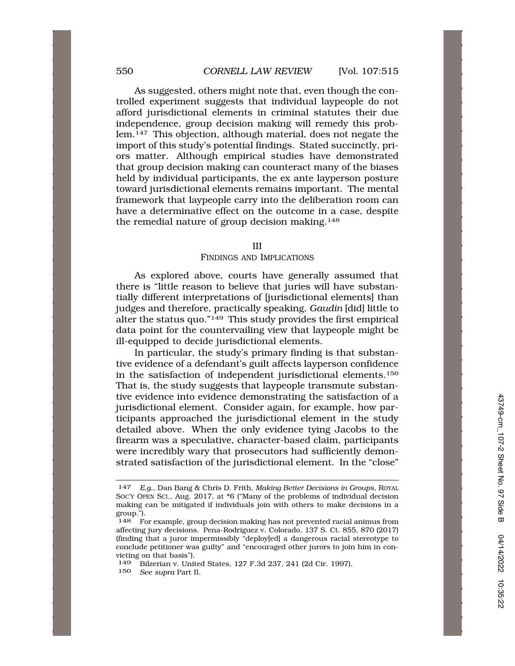As suggested, others might note that, even though the controlled experiment suggests that individual laypeople do not afford jurisdictional elements in criminal statutes their due independence, group decision making will remedy this problem.147 This objection, although material, does not negate the import of this study's potential findings. Stated succinctly, priors matter. Although empirical studies have demonstrated that group decision making can counteract many of the biases held by individual participants, the ex ante layperson posture toward jurisdictional elements remains important. The mental framework that laypeople carry into the deliberation room can have a determinative effect on the outcome in a case, despite the remedial nature of group decision making.148

#### III

### FINDINGS AND IMPLICATIONS

As explored above, courts have generally assumed that there is "little reason to believe that juries will have substantially different interpretations of [jurisdictional elements] than judges and therefore, practically speaking, *Gaudin* [did] little to alter the status quo."149 This study provides the first empirical data point for the countervailing view that laypeople might be ill-equipped to decide jurisdictional elements.

In particular, the study's primary finding is that substantive evidence of a defendant's guilt affects layperson confidence in the satisfaction of independent jurisdictional elements.150 That is, the study suggests that laypeople transmute substantive evidence into evidence demonstrating the satisfaction of a jurisdictional element. Consider again, for example, how participants approached the jurisdictional element in the study detailed above. When the only evidence tying Jacobs to the firearm was a speculative, character-based claim, participants were incredibly wary that prosecutors had sufficiently demonstrated satisfaction of the jurisdictional element. In the "close"

150 *See supra* Part II.

<sup>147</sup> *E.g*., Dan Bang & Chris D. Frith, *Making Better Decisions in Groups*, ROYAL SOC'Y OPEN SCI., Aug. 2017, at \*6 ("Many of the problems of individual decision making can be mitigated if individuals join with others to make decisions in a  $\begin{bmatrix} \text{group.} \\ \text{148} \\ \text{Fe} \end{bmatrix}$ 

<sup>148</sup> For example, group decision making has not prevented racial animus from affecting jury decisions. Pena-Rodriguez v. Colorado, 137 S. Ct. 855, 870 (2017) (finding that a juror impermissibly "deploy[ed] a dangerous racial stereotype to conclude petitioner was guilty" and "encouraged other jurors to join him in convicting on that basis").

<sup>149</sup> Bilzerian v. United States, 127 F.3d 237, 241 (2d Cir. 1997).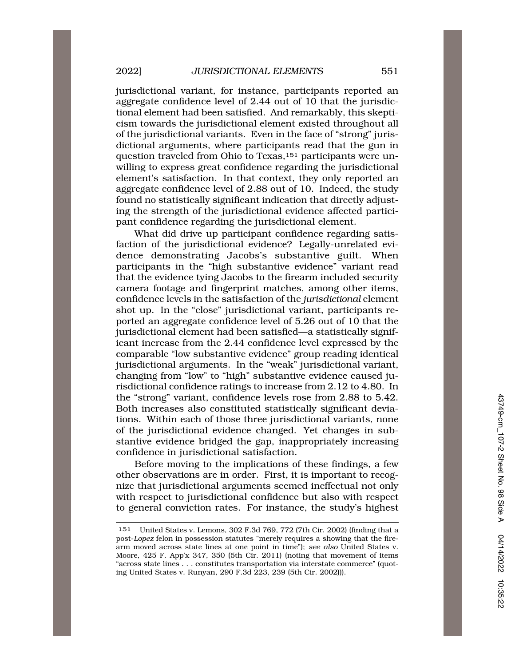jurisdictional variant, for instance, participants reported an aggregate confidence level of 2.44 out of 10 that the jurisdictional element had been satisfied. And remarkably, this skepticism towards the jurisdictional element existed throughout all of the jurisdictional variants. Even in the face of "strong" jurisdictional arguments, where participants read that the gun in question traveled from Ohio to Texas,151 participants were unwilling to express great confidence regarding the jurisdictional element's satisfaction. In that context, they only reported an aggregate confidence level of 2.88 out of 10. Indeed, the study found no statistically significant indication that directly adjusting the strength of the jurisdictional evidence affected participant confidence regarding the jurisdictional element.

What did drive up participant confidence regarding satisfaction of the jurisdictional evidence? Legally-unrelated evidence demonstrating Jacobs's substantive guilt. When participants in the "high substantive evidence" variant read that the evidence tying Jacobs to the firearm included security camera footage and fingerprint matches, among other items, confidence levels in the satisfaction of the *jurisdictional* element shot up. In the "close" jurisdictional variant, participants reported an aggregate confidence level of 5.26 out of 10 that the jurisdictional element had been satisfied—a statistically significant increase from the 2.44 confidence level expressed by the comparable "low substantive evidence" group reading identical jurisdictional arguments. In the "weak" jurisdictional variant, changing from "low" to "high" substantive evidence caused jurisdictional confidence ratings to increase from 2.12 to 4.80. In the "strong" variant, confidence levels rose from 2.88 to 5.42. Both increases also constituted statistically significant deviations. Within each of those three jurisdictional variants, none of the jurisdictional evidence changed. Yet changes in substantive evidence bridged the gap, inappropriately increasing confidence in jurisdictional satisfaction.

Before moving to the implications of these findings, a few other observations are in order. First, it is important to recognize that jurisdictional arguments seemed ineffectual not only with respect to jurisdictional confidence but also with respect to general conviction rates. For instance, the study's highest

<sup>151</sup> United States v. Lemons, 302 F.3d 769, 772 (7th Cir. 2002) (finding that a post-*Lopez* felon in possession statutes "merely requires a showing that the firearm moved across state lines at one point in time"); *see also* United States v. Moore, 425 F. App'x 347, 350 (5th Cir. 2011) (noting that movement of items "across state lines . . . constitutes transportation via interstate commerce" (quoting United States v. Runyan, 290 F.3d 223, 239 (5th Cir. 2002))).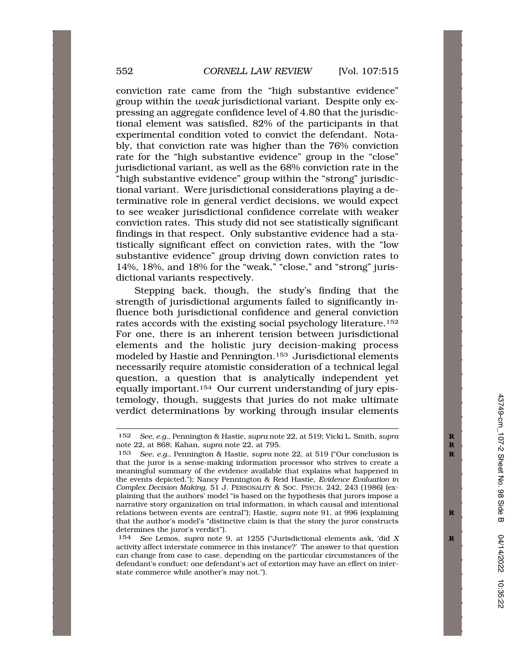conviction rate came from the "high substantive evidence" group within the *weak* jurisdictional variant. Despite only expressing an aggregate confidence level of 4.80 that the jurisdictional element was satisfied, 82% of the participants in that experimental condition voted to convict the defendant. Notably, that conviction rate was higher than the 76% conviction rate for the "high substantive evidence" group in the "close" jurisdictional variant, as well as the 68% conviction rate in the "high substantive evidence" group within the "strong" jurisdictional variant. Were jurisdictional considerations playing a determinative role in general verdict decisions, we would expect to see weaker jurisdictional confidence correlate with weaker conviction rates. This study did not see statistically significant findings in that respect. Only substantive evidence had a statistically significant effect on conviction rates, with the "low substantive evidence" group driving down conviction rates to 14%, 18%, and 18% for the "weak," "close," and "strong" jurisdictional variants respectively.

Stepping back, though, the study's finding that the strength of jurisdictional arguments failed to significantly influence both jurisdictional confidence and general conviction rates accords with the existing social psychology literature.152 For one, there is an inherent tension between jurisdictional elements and the holistic jury decision-making process modeled by Hastie and Pennington.153 Jurisdictional elements necessarily require atomistic consideration of a technical legal question, a question that is analytically independent yet equally important.154 Our current understanding of jury epistemology, though, suggests that juries do not make ultimate verdict determinations by working through insular elements

<sup>152</sup> *See, e.g.*, Pennington & Hastie, *supra* note 22, at 519; Vicki L. Smith, *supra* **R**  note 22, at 868; Kahan, *supra* note 22, at 795. **R** 

<sup>153</sup> *See, e.g.*, Pennington & Hastie, *supra* note 22, at 519 ("Our conclusion is **R**  that the juror is a sense-making information processor who strives to create a meaningful summary of the evidence available that explains what happened in the events depicted."); Nancy Pennington & Reid Hastie, *Evidence Evaluation in Complex Decision Making*, 51 J. PERSONALITY & SOC. PSYCH. 242, 243 (1986) (explaining that the authors' model "is based on the hypothesis that jurors impose a narrative story organization on trial information, in which causal and intentional relations between events are central"); Hastie, *supra* note 91, at 996 (explaining **R**  that the author's model's "distinctive claim is that the story the juror constructs determines the juror's verdict").

<sup>154</sup> *See* Lemos, *supra* note 9, at 1255 ("Jurisdictional elements ask, 'did *X* **R**  activity affect interstate commerce in this instance?' The answer to that question can change from case to case, depending on the particular circumstances of the defendant's conduct: one defendant's act of extortion may have an effect on interstate commerce while another's may not.").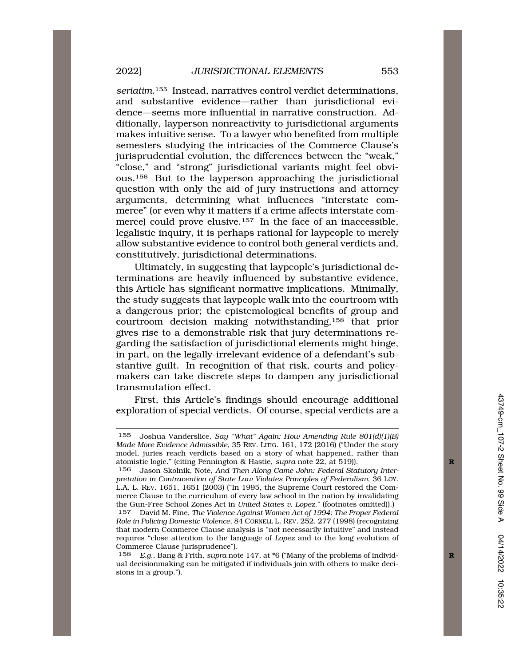*seriatim*.155 Instead, narratives control verdict determinations, and substantive evidence—rather than jurisdictional evidence—seems more influential in narrative construction. Additionally, layperson nonreactivity to jurisdictional arguments makes intuitive sense. To a lawyer who benefited from multiple semesters studying the intricacies of the Commerce Clause's jurisprudential evolution, the differences between the "weak," "close," and "strong" jurisdictional variants might feel obvious.156 But to the layperson approaching the jurisdictional question with only the aid of jury instructions and attorney arguments, determining what influences "interstate commerce" (or even why it matters if a crime affects interstate commerce) could prove elusive.<sup>157</sup> In the face of an inaccessible, legalistic inquiry, it is perhaps rational for laypeople to merely allow substantive evidence to control both general verdicts and, constitutively, jurisdictional determinations.

Ultimately, in suggesting that laypeople's jurisdictional determinations are heavily influenced by substantive evidence, this Article has significant normative implications. Minimally, the study suggests that laypeople walk into the courtroom with a dangerous prior; the epistemological benefits of group and courtroom decision making notwithstanding,158 that prior gives rise to a demonstrable risk that jury determinations regarding the satisfaction of jurisdictional elements might hinge, in part, on the legally-irrelevant evidence of a defendant's substantive guilt. In recognition of that risk, courts and policymakers can take discrete steps to dampen any jurisdictional transmutation effect.

First, this Article's findings should encourage additional exploration of special verdicts. Of course, special verdicts are a

<sup>155</sup> Joshua Vanderslice, *Say "What" Again: How Amending Rule 801(d)(1)(B) Made More Evidence Admissible*, 35 REV. LITIG. 161, 172 (2016) ("Under the story model, juries reach verdicts based on a story of what happened, rather than atomistic logic." (citing Pennington & Hastie, *supra* note 22, at 519)).

<sup>156</sup> Jason Skolnik, Note, *And Then Along Came John: Federal Statutory Interpretation in Contravention of State Law Violates Principles of Federalism*, 36 LOY. L.A. L. REV. 1651, 1651 (2003) ("In 1995, the Supreme Court restored the Commerce Clause to the curriculum of every law school in the nation by invalidating the Gun-Free School Zones Act in *United States v. Lopez*." (footnotes omitted)).)

<sup>157</sup> David M. Fine, *The Violence Against Women Act of 1994: The Proper Federal Role in Policing Domestic Violence*, 84 CORNELL L. REV. 252, 277 (1998) (recognizing that modern Commerce Clause analysis is "not necessarily intuitive" and instead requires "close attention to the language of *Lopez* and to the long evolution of Commerce Clause jurisprudence").

<sup>158</sup> *E.g*., Bang & Frith, *supra* note 147, at \*6 ("Many of the problems of individ- **R**  ual decisionmaking can be mitigated if individuals join with others to make decisions in a group.").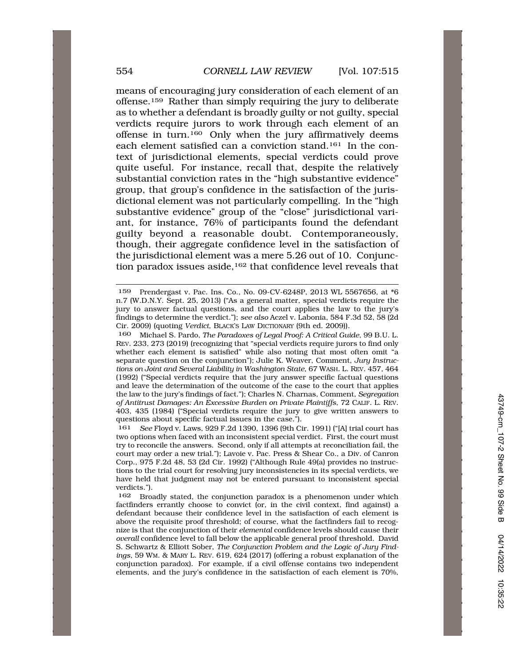means of encouraging jury consideration of each element of an offense.159 Rather than simply requiring the jury to deliberate as to whether a defendant is broadly guilty or not guilty, special verdicts require jurors to work through each element of an offense in turn.160 Only when the jury affirmatively deems each element satisfied can a conviction stand.161 In the context of jurisdictional elements, special verdicts could prove quite useful. For instance, recall that, despite the relatively substantial conviction rates in the "high substantive evidence" group, that group's confidence in the satisfaction of the jurisdictional element was not particularly compelling. In the "high substantive evidence" group of the "close" jurisdictional variant, for instance, 76% of participants found the defendant guilty beyond a reasonable doubt. Contemporaneously, though, their aggregate confidence level in the satisfaction of the jurisdictional element was a mere 5.26 out of 10. Conjunction paradox issues aside,<sup>162</sup> that confidence level reveals that

<sup>159</sup> Prendergast v. Pac. Ins. Co., No. 09-CV-6248P, 2013 WL 5567656, at \*6 n.7 (W.D.N.Y. Sept. 25, 2013) ("As a general matter, special verdicts require the jury to answer factual questions, and the court applies the law to the jury's findings to determine the verdict."); *see also* Aczel v. Labonia, 584 F.3d 52, 58 (2d Cir. 2009) (quoting *Verdict*, BLACK'S LAW DICTIONARY (9th ed. 2009)).

<sup>160</sup> Michael S. Pardo, *The Paradoxes of Legal Proof: A Critical Guide*, 99 B.U. L. REV. 233, 273 (2019) (recognizing that "special verdicts require jurors to find only whether each element is satisfied" while also noting that most often omit "a separate question on the conjunction"); Julie K. Weaver, Comment, *Jury Instructions on Joint and Several Liability in Washington State*, 67 WASH. L. REV. 457, 464 (1992) ("Special verdicts require that the jury answer specific factual questions and leave the determination of the outcome of the case to the court that applies the law to the jury's findings of fact."); Charles N. Charnas, Comment, *Segregation of Antitrust Damages: An Excessive Burden on Private Plaintiffs*, 72 CALIF. L. REV. 403, 435 (1984) ("Special verdicts require the jury to give written answers to questions about specific factual issues in the case.").

<sup>161</sup> *See* Floyd v. Laws, 929 F.2d 1390, 1396 (9th Cir. 1991) ("[A] trial court has two options when faced with an inconsistent special verdict. First, the court must try to reconcile the answers. Second, only if all attempts at reconciliation fail, the court may order a new trial."); Lavoie v. Pac. Press & Shear Co., a Div. of Canron Corp., 975 F.2d 48, 53 (2d Cir. 1992) ("Although Rule 49(a) provides no instructions to the trial court for resolving jury inconsistencies in its special verdicts, we have held that judgment may not be entered pursuant to inconsistent special verdicts.").

<sup>162</sup> Broadly stated, the conjunction paradox is a phenomenon under which factfinders errantly choose to convict (or, in the civil context, find against) a defendant because their confidence level in the satisfaction of each element is above the requisite proof threshold; of course, what the factfinders fail to recognize is that the conjunction of their *elemental* confidence levels should cause their *overall* confidence level to fall below the applicable general proof threshold. David S. Schwartz & Elliott Sober, *The Conjunction Problem and the Logic of Jury Findings*, 59 WM. & MARY L. REV. 619, 624 (2017) (offering a robust explanation of the conjunction paradox). For example, if a civil offense contains two independent elements, and the jury's confidence in the satisfaction of each element is 70%,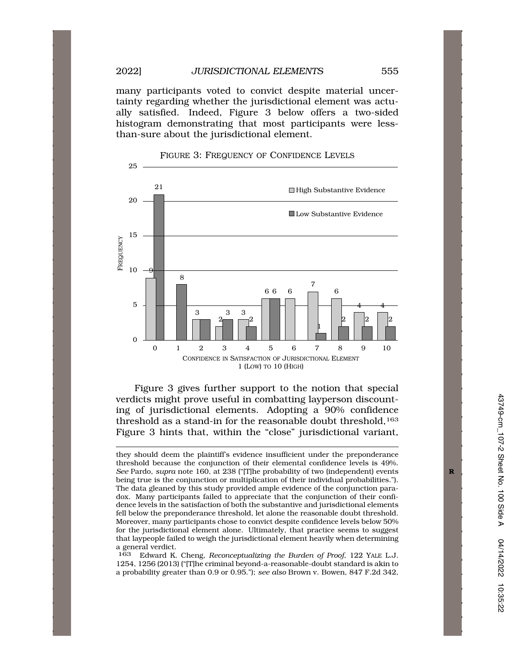many participants voted to convict despite material uncertainty regarding whether the jurisdictional element was actually satisfied. Indeed, Figure 3 below offers a two-sided histogram demonstrating that most participants were lessthan-sure about the jurisdictional element.



Figure 3 gives further support to the notion that special verdicts might prove useful in combatting layperson discounting of jurisdictional elements. Adopting a 90% confidence threshold as a stand-in for the reasonable doubt threshold,<sup>163</sup> Figure 3 hints that, within the "close" jurisdictional variant,

they should deem the plaintiff's evidence insufficient under the preponderance threshold because the conjunction of their elemental confidence levels is 49%. *See* Pardo, *supra* note 160, at 238 ("[T]he probability of two (independent) events **R**  being true is the conjunction or multiplication of their individual probabilities."). The data gleaned by this study provided ample evidence of the conjunction paradox. Many participants failed to appreciate that the conjunction of their confidence levels in the satisfaction of both the substantive and jurisdictional elements fell below the preponderance threshold, let alone the reasonable doubt threshold. Moreover, many participants chose to convict despite confidence levels below 50% for the jurisdictional element alone. Ultimately, that practice seems to suggest that laypeople failed to weigh the jurisdictional element heavily when determining a general verdict.

Edward K. Cheng, *Reconceptualizing the Burden of Proof*, 122 YALE L.J. 1254, 1256 (2013) ("[T]he criminal beyond-a-reasonable-doubt standard is akin to a probability greater than 0.9 or 0.95."); *see also* Brown v. Bowen, 847 F.2d 342, 163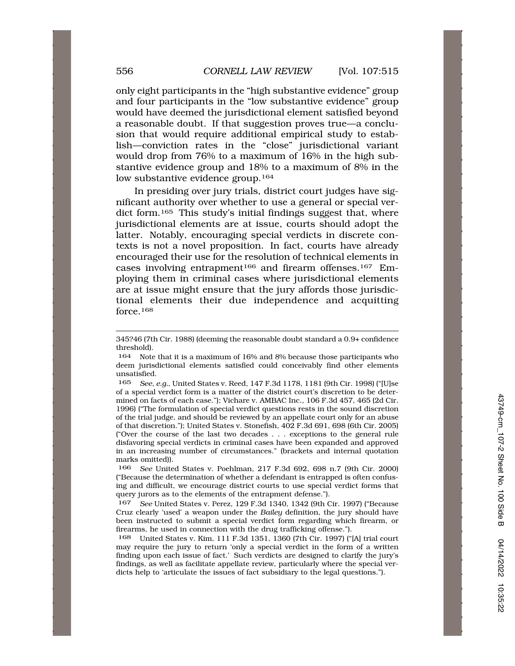only eight participants in the "high substantive evidence" group and four participants in the "low substantive evidence" group would have deemed the jurisdictional element satisfied beyond a reasonable doubt. If that suggestion proves true—a conclusion that would require additional empirical study to establish—conviction rates in the "close" jurisdictional variant would drop from 76% to a maximum of 16% in the high substantive evidence group and 18% to a maximum of 8% in the low substantive evidence group.<sup>164</sup>

In presiding over jury trials, district court judges have significant authority over whether to use a general or special verdict form.<sup>165</sup> This study's initial findings suggest that, where jurisdictional elements are at issue, courts should adopt the latter. Notably, encouraging special verdicts in discrete contexts is not a novel proposition. In fact, courts have already encouraged their use for the resolution of technical elements in cases involving entrapment<sup>166</sup> and firearm offenses.<sup>167</sup> Employing them in criminal cases where jurisdictional elements are at issue might ensure that the jury affords those jurisdictional elements their due independence and acquitting force.168

<sup>345?46 (7</sup>th Cir. 1988) (deeming the reasonable doubt standard a 0.9+ confidence threshold).

<sup>164</sup> Note that it is a maximum of 16% and 8% because those participants who deem jurisdictional elements satisfied could conceivably find other elements unsatisfied.

<sup>165</sup> *See, e.g.*, United States v. Reed, 147 F.3d 1178, 1181 (9th Cir. 1998) ("[U]se of a special verdict form is a matter of the district court's discretion to be determined on facts of each case."); Vichare v. AMBAC Inc., 106 F.3d 457, 465 (2d Cir. 1996) ("The formulation of special verdict questions rests in the sound discretion of the trial judge, and should be reviewed by an appellate court only for an abuse of that discretion."); United States v. Stonefish, 402 F.3d 691, 698 (6th Cir. 2005) ("Over the course of the last two decades . . . exceptions to the general rule disfavoring special verdicts in criminal cases have been expanded and approved in an increasing number of circumstances." (brackets and internal quotation marks omitted)).

<sup>166</sup> *See* United States v. Poehlman, 217 F.3d 692, 698 n.7 (9th Cir. 2000) ("Because the determination of whether a defendant is entrapped is often confusing and difficult, we encourage district courts to use special verdict forms that query jurors as to the elements of the entrapment defense.").

<sup>167</sup> *See* United States v. Perez, 129 F.3d 1340, 1342 (9th Cir. 1997) ("Because Cruz clearly 'used' a weapon under the *Bailey* definition, the jury should have been instructed to submit a special verdict form regarding which firearm, or firearms, he used in connection with the drug trafficking offense.").

<sup>168</sup> United States v. Kim, 111 F.3d 1351, 1360 (7th Cir. 1997) ("[A] trial court may require the jury to return 'only a special verdict in the form of a written finding upon each issue of fact.' Such verdicts are designed to clarify the jury's findings, as well as facilitate appellate review, particularly where the special verdicts help to 'articulate the issues of fact subsidiary to the legal questions.").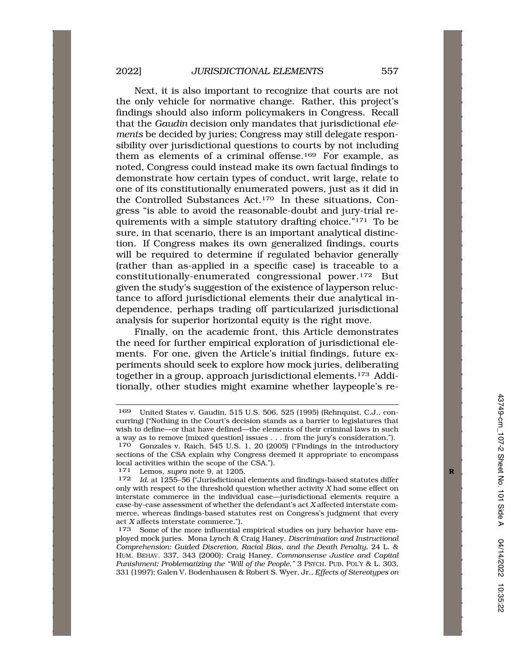Next, it is also important to recognize that courts are not the only vehicle for normative change. Rather, this project's findings should also inform policymakers in Congress. Recall that the *Gaudin* decision only mandates that jurisdictional *elements* be decided by juries; Congress may still delegate responsibility over jurisdictional questions to courts by not including them as elements of a criminal offense.<sup>169</sup> For example, as noted, Congress could instead make its own factual findings to demonstrate how certain types of conduct, writ large, relate to one of its constitutionally enumerated powers, just as it did in the Controlled Substances Act.170 In these situations, Congress "is able to avoid the reasonable-doubt and jury-trial requirements with a simple statutory drafting choice."171 To be sure, in that scenario, there is an important analytical distinction. If Congress makes its own generalized findings, courts will be required to determine if regulated behavior generally (rather than as-applied in a specific case) is traceable to a constitutionally-enumerated congressional power.172 But given the study's suggestion of the existence of layperson reluctance to afford jurisdictional elements their due analytical independence, perhaps trading off particularized jurisdictional analysis for superior horizontal equity is the right move.

Finally, on the academic front, this Article demonstrates the need for further empirical exploration of jurisdictional elements. For one, given the Article's initial findings, future experiments should seek to explore how mock juries, deliberating together in a group, approach jurisdictional elements.<sup>173</sup> Additionally, other studies might examine whether laypeople's re-

<sup>169</sup> United States v. Gaudin, 515 U.S. 506, 525 (1995) (Rehnquist, C.J., concurring) ("Nothing in the Court's decision stands as a barrier to legislatures that wish to define—or that have defined—the elements of their criminal laws in such

a way as to remove [mixed question] issues . . . from the jury's consideration."). Gonzales v. Raich, 545 U.S. 1, 20 (2005) ("Findings in the introductory sections of the CSA explain why Congress deemed it appropriate to encompass local activities within the scope of the CSA.").

<sup>171</sup> Lemos, *supra* note 9, at 1205.<br>172 *Id at* 1255–56 ("Jurisdictional

Id. at 1255-56 ("Jurisdictional elements and findings-based statutes differ only with respect to the threshold question whether activity *X* had some effect on interstate commerce in the individual case—jurisdictional elements require a case-by-case assessment of whether the defendant's act *X* affected interstate commerce, whereas findings-based statutes rest on Congress's judgment that every act *X* affects interstate commerce.").<br>173 Some of the more influential

Some of the more influential empirical studies on jury behavior have employed mock juries. Mona Lynch & Craig Haney, *Discrimination and Instructional Comprehension: Guided Discretion, Racial Bias, and the Death Penalty*, 24 L. & HUM. BEHAV. 337, 343 (2000); Craig Haney, *Commonsense Justice and Capital Punishment: Problematizing the "Will of the People*,*"* 3 PSYCH. PUB. POL'Y & L. 303, 331 (1997); Galen V. Bodenhausen & Robert S. Wyer, Jr., *Effects of Stereotypes on*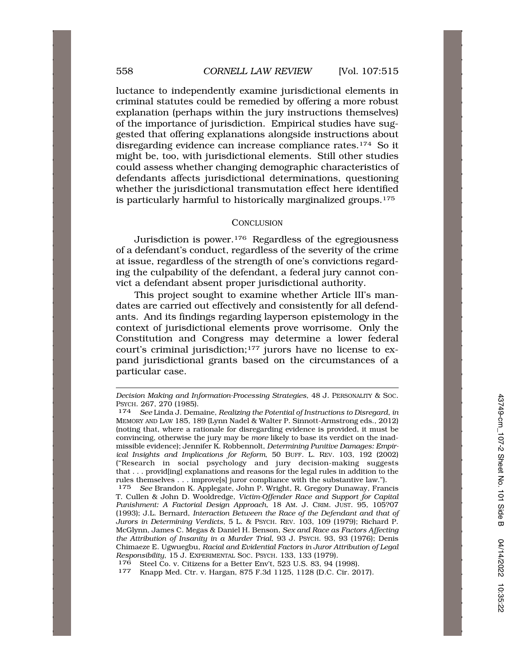luctance to independently examine jurisdictional elements in criminal statutes could be remedied by offering a more robust explanation (perhaps within the jury instructions themselves) of the importance of jurisdiction. Empirical studies have suggested that offering explanations alongside instructions about disregarding evidence can increase compliance rates.174 So it might be, too, with jurisdictional elements. Still other studies could assess whether changing demographic characteristics of defendants affects jurisdictional determinations, questioning whether the jurisdictional transmutation effect here identified is particularly harmful to historically marginalized groups.175

#### **CONCLUSION**

Jurisdiction is power.176 Regardless of the egregiousness of a defendant's conduct, regardless of the severity of the crime at issue, regardless of the strength of one's convictions regarding the culpability of the defendant, a federal jury cannot convict a defendant absent proper jurisdictional authority.

This project sought to examine whether Article III's mandates are carried out effectively and consistently for all defendants. And its findings regarding layperson epistemology in the context of jurisdictional elements prove worrisome. Only the Constitution and Congress may determine a lower federal court's criminal jurisdiction;177 jurors have no license to expand jurisdictional grants based on the circumstances of a particular case.

*Decision Making and Information-Processing Strategies*, 48 J. PERSONALITY & SOC. PSYCH. 267, 270 (1985). 174 *See* Linda J. Demaine, *Realizing the Potential of Instructions to Disregard*, *in* 

MEMORY AND LAW 185, 189 (Lynn Nadel & Walter P. Sinnott-Armstrong eds., 2012) (noting that, where a rationale for disregarding evidence is provided, it must be convincing, otherwise the jury may be *more* likely to base its verdict on the inadmissible evidence); Jennifer K. Robbennolt, *Determining Punitive Damages: Empirical Insights and Implications for Reform*, 50 BUFF. L. REV. 103, 192 (2002) ("Research in social psychology and jury decision-making suggests that . . . provid[ing] explanations and reasons for the legal rules in addition to the rules themselves . . . improve[s] juror compliance with the substantive law.").

<sup>175</sup> *See* Brandon K. Applegate, John P. Wright, R. Gregory Dunaway, Francis T. Cullen & John D. Wooldredge, *Victim-Offender Race and Support for Capital Punishment: A Factorial Design Approach*, 18 AM. J. CRIM. JUST. 95, 105?07 (1993); J.L. Bernard, *Interaction Between the Race of the Defendant and that of Jurors in Determining Verdicts*, 5 L. & PSYCH. REV. 103, 109 (1979); Richard P. McGlynn, James C. Megas & Daniel H. Benson, *Sex and Race as Factors Affecting the Attribution of Insanity in a Murder Trial*, 93 J. PSYCH. 93, 93 (1976); Denis Chimaeze E. Ugwuegbu, *Racial and Evidential Factors in Juror Attribution of Legal Responsibility*, 15 J. EXPERIMENTAL SOC. PSYCH. 133, 133 (1979).

<sup>176</sup> Steel Co. v. Citizens for a Better Env't, 523 U.S. 83, 94 (1998). 177 Knapp Med. Ctr. v. Hargan, 875 F.3d 1125, 1128 (D.C. Cir. 2017).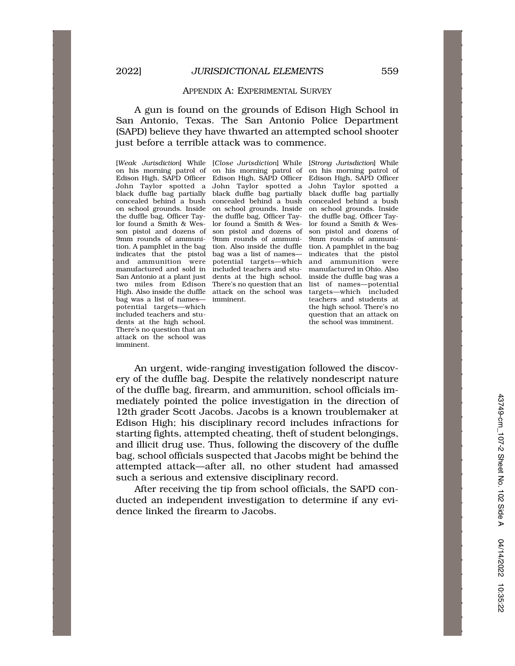#### APPENDIX A: EXPERIMENTAL SURVEY

## A gun is found on the grounds of Edison High School in San Antonio, Texas. The San Antonio Police Department (SAPD) believe they have thwarted an attempted school shooter just before a terrible attack was to commence.

bag was a list of names— imminent. teachers and students at potential targets—which the magnetic students at the high school. There's no potential targets—which the high school. There's no included teachers and stu-<br>question that an attack on dents at the high school. There's no question that an attack on the school was imminent.

on his morning patrol of on his morning patrol of on his morning patrol of Edison High, SAPD Officer Edison High, SAPD Officer Edison High, SAPD Officer John Taylor spotted a John Taylor spotted a John Taylor spotted a black duffle bag partially black duffle bag partially black duffle bag partially concealed behind a bush concealed behind a bush concealed behind a bush on school grounds. Inside on school grounds. Inside on school grounds. Inside the duffle bag, Officer Tay- the duffle bag, Officer Tay- the duffle bag, Officer Taylor found a Smith & Wes- lor found a Smith & Wes- lor found a Smith & Wesson pistol and dozens of son pistol and dozens of son pistol and dozens of 9mm rounds of ammuni- 9mm rounds of ammuni- 9mm rounds of ammunition. A pamphlet in the bag tion. Also inside the duffle tion. A pamphlet in the bag indicates that the pistol bag was a list of names— indicates that the pistol and ammunition were potential targets—which and ammunition were manufactured and sold in included teachers and stu- manufactured in Ohio. Also San Antonio at a plant just dents at the high school. inside the duffle bag was a two miles from Edison There's no question that an list of names—potential High. Also inside the duffle attack on the school was targets—which included

[*Weak Jurisdiction*] While [*Close Jurisdiction*] While [*Strong Jurisdiction*] While question that an attack on<br>the school was imminent.

An urgent, wide-ranging investigation followed the discovery of the duffle bag. Despite the relatively nondescript nature of the duffle bag, firearm, and ammunition, school officials immediately pointed the police investigation in the direction of 12th grader Scott Jacobs. Jacobs is a known troublemaker at Edison High; his disciplinary record includes infractions for starting fights, attempted cheating, theft of student belongings, and illicit drug use. Thus, following the discovery of the duffle bag, school officials suspected that Jacobs might be behind the attempted attack—after all, no other student had amassed such a serious and extensive disciplinary record.

After receiving the tip from school officials, the SAPD conducted an independent investigation to determine if any evidence linked the firearm to Jacobs.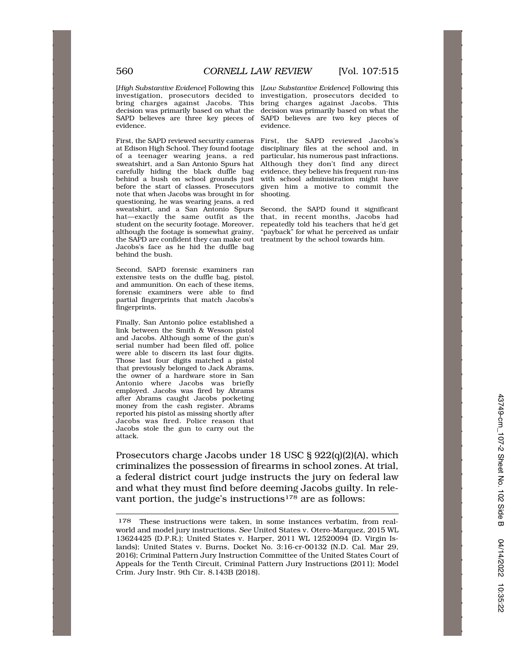[*High Substantive Evidence*] Following this [*Low Substantive Evidence*] Following this investigation, prosecutors decided to investigation, prosecutors decided to bring charges against Jacobs. This bring charges against Jacobs. This decision was primarily based on what the decision was primarily based on what the SAPD believes are three key pieces of SAPD believes are two key pieces of evidence. evidence.

at Edison High School. They found footage disciplinary files at the school and, in of a teenager wearing jeans, a red particular, his numerous past infractions. sweatshirt, and a San Antonio Spurs hat Although they don't find any direct carefully hiding the black duffle bag evidence, they believe his frequent run-ins behind a bush on school grounds just with school administration might have behind a bush on school grounds just with school administration might have before the start of classes. Prosecutors given him a motive to commit the note that when Jacobs was brought in for shooting. questioning, he was wearing jeans, a red hat—exactly the same outfit as the that, in recent months, Jacobs had student on the security footage. Moreover, repeatedly told his teachers that he'd get although the footage is somewhat grainy, "payback" for what he perceived as unfair the SAPD are confident they can make out treatment by the school towards him. Jacobs's face as he hid the duffle bag behind the bush.

Second, SAPD forensic examiners ran extensive tests on the duffle bag, pistol, and ammunition. On each of these items, forensic examiners were able to find partial fingerprints that match Jacobs's fingerprints.

Finally, San Antonio police established a link between the Smith & Wesson pistol and Jacobs. Although some of the gun's serial number had been filed off, police were able to discern its last four digits. Those last four digits matched a pistol that previously belonged to Jack Abrams, the owner of a hardware store in San Antonio where Jacobs was briefly employed. Jacobs was fired by Abrams after Abrams caught Jacobs pocketing money from the cash register. Abrams reported his pistol as missing shortly after Jacobs was fired. Police reason that Jacobs stole the gun to carry out the attack.

First, the SAPD reviewed security cameras First, the SAPD reviewed Jacobs's given him a motive to commit the

Second, the SAPD found it significant

Prosecutors charge Jacobs under 18 USC § 922(q)(2)(A), which criminalizes the possession of firearms in school zones. At trial, a federal district court judge instructs the jury on federal law and what they must find before deeming Jacobs guilty. In relevant portion, the judge's instructions<sup>178</sup> are as follows:

<sup>178</sup> These instructions were taken, in some instances verbatim, from realworld and model jury instructions. *See* United States v. Otero-Marquez, 2015 WL 13624425 (D.P.R.); United States v. Harper, 2011 WL 12520094 (D. Virgin Islands); United States v. Burns, Docket No. 3:16-cr-00132 (N.D. Cal. Mar 29, 2016); Criminal Pattern Jury Instruction Committee of the United States Court of Appeals for the Tenth Circuit, Criminal Pattern Jury Instructions (2011); Model Crim. Jury Instr. 9th Cir. 8.143B (2018).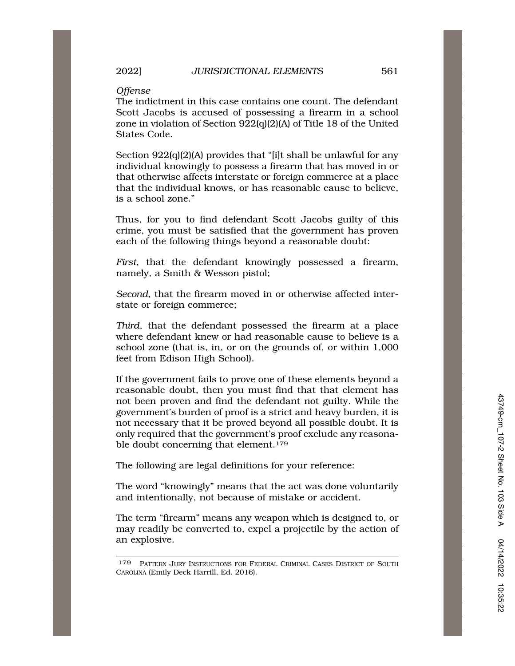## *Offense*

The indictment in this case contains one count. The defendant Scott Jacobs is accused of possessing a firearm in a school zone in violation of Section 922(q)(2)(A) of Title 18 of the United States Code.

Section 922(q)(2)(A) provides that "[i]t shall be unlawful for any individual knowingly to possess a firearm that has moved in or that otherwise affects interstate or foreign commerce at a place that the individual knows, or has reasonable cause to believe, is a school zone."

Thus, for you to find defendant Scott Jacobs guilty of this crime, you must be satisfied that the government has proven each of the following things beyond a reasonable doubt:

*First*, that the defendant knowingly possessed a firearm, namely, a Smith & Wesson pistol;

*Second*, that the firearm moved in or otherwise affected interstate or foreign commerce;

*Third*, that the defendant possessed the firearm at a place where defendant knew or had reasonable cause to believe is a school zone (that is, in, or on the grounds of, or within 1,000 feet from Edison High School).

If the government fails to prove one of these elements beyond a reasonable doubt, then you must find that that element has not been proven and find the defendant not guilty. While the government's burden of proof is a strict and heavy burden, it is not necessary that it be proved beyond all possible doubt. It is only required that the government's proof exclude any reasonable doubt concerning that element.<sup>179</sup>

The following are legal definitions for your reference:

The word "knowingly" means that the act was done voluntarily and intentionally, not because of mistake or accident.

The term "firearm" means any weapon which is designed to, or may readily be converted to, expel a projectile by the action of an explosive.

<sup>179</sup> PATTERN JURY INSTRUCTIONS FOR FEDERAL CRIMINAL CASES DISTRICT OF SOUTH CAROLINA (Emily Deck Harrill, Ed. 2016).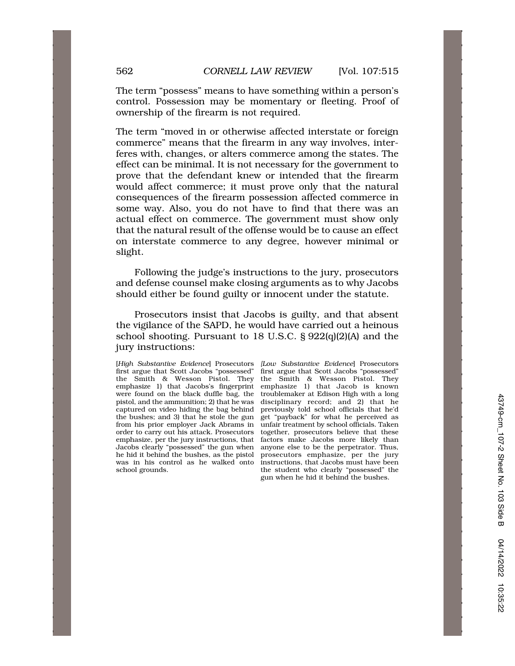The term "possess" means to have something within a person's control. Possession may be momentary or fleeting. Proof of ownership of the firearm is not required.

The term "moved in or otherwise affected interstate or foreign commerce" means that the firearm in any way involves, interferes with, changes, or alters commerce among the states. The effect can be minimal. It is not necessary for the government to prove that the defendant knew or intended that the firearm would affect commerce; it must prove only that the natural consequences of the firearm possession affected commerce in some way. Also, you do not have to find that there was an actual effect on commerce. The government must show only that the natural result of the offense would be to cause an effect on interstate commerce to any degree, however minimal or slight.

Following the judge's instructions to the jury, prosecutors and defense counsel make closing arguments as to why Jacobs should either be found guilty or innocent under the statute.

Prosecutors insist that Jacobs is guilty, and that absent the vigilance of the SAPD, he would have carried out a heinous school shooting. Pursuant to 18 U.S.C. § 922(q)(2)(A) and the jury instructions:

[*High Substantive Evidence*] Prosecutors *[Low Substantive Evidence*] Prosecutors the Smith & Wesson Pistol. They the Smith & Wesson Pistol. They emphasize 1) that Jacobs's fingerprint emphasize 1) that Jacob is known were found on the black duffle bag, the troublemaker at Edison High with a long pistol, and the ammunition; 2) that he was disciplinary record; and 2) that he captured on video hiding the bag behind previously told school officials that he'd the bushes; and 3) that he stole the gun get "payback" for what he perceived as from his prior employer Jack Abrams in unfair treatment by school officials. Taken order to carry out his attack. Prosecutors together, prosecutors believe that these emphasize, per the jury instructions, that factors make Jacobs more likely than Jacobs clearly "possessed" the gun when anyone else to be the perpetrator. Thus, Jacobs clearly "possessed" the gun when he hid it behind the bushes, as the pistol prosecutors emphasize, per the jury was in his control as he walked onto instructions, that Jacobs must have been school grounds. the student who clearly "possessed" the

first argue that Scott Jacobs "possessed" unfair treatment by school officials. Taken gun when he hid it behind the bushes.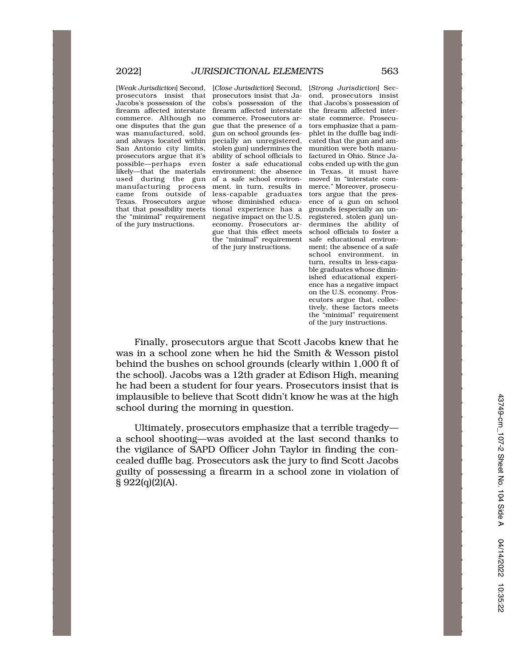used during the gun of a safe school environ- moved in "interstate comprosecutors insist that prosecutors insist that Ja- ond, prosecutors insist Jacobs's possession of the cobs's possession of the that Jacobs's possession of firearm affected interstate firearm affected interstate the firearm affected intercommerce. Although no commerce. Prosecutors ar- state commerce. Prosecuone disputes that the gun gue that the presence of a tors emphasize that a pamwas manufactured, sold, gun on school grounds (es- phlet in the duffle bag indiand always located within pecially an unregistered, cated that the gun and am-San Antonio city limits, stolen gun) undermines the munition were both manuprosecutors argue that it's ability of school officials to factured in Ohio. Since Japossible—perhaps even foster a safe educational cobs ended up with the gun likely—that the materials environment; the absence in Texas, it must have manufacturing process ment, in turn, results in merce." Moreover, prosecucame from outside of less-capable graduates tors argue that the preswhose diminished educathat that possibility meets tional experience has a grounds (especially an un-<br>the "minimal" requirement negative impact on the U.S. registered, stolen gun) unnegative impact on the U.S. registered, stolen gun) unof the jury instructions. economy. Prosecutors ar- dermines the ability of gue that this effect meets the "minimal" requirement safe educational environof the jury instructions. ment; the absence of a safe

[*Weak Jurisdiction*] Second, [*Close Jurisdiction*] Second, [*Strong Jurisdiction*] Secschool environment, in turn, results in less-capable graduates whose diminished educational experience has a negative impact on the U.S. economy. Prosecutors argue that, collectively, these factors meets the "minimal" requirement of the jury instructions.

Finally, prosecutors argue that Scott Jacobs knew that he was in a school zone when he hid the Smith & Wesson pistol behind the bushes on school grounds (clearly within 1,000 ft of the school). Jacobs was a 12th grader at Edison High, meaning he had been a student for four years. Prosecutors insist that is implausible to believe that Scott didn't know he was at the high school during the morning in question.

Ultimately, prosecutors emphasize that a terrible tragedy a school shooting—was avoided at the last second thanks to the vigilance of SAPD Officer John Taylor in finding the concealed duffle bag. Prosecutors ask the jury to find Scott Jacobs guilty of possessing a firearm in a school zone in violation of  $\S 922(q)(2)(A)$ .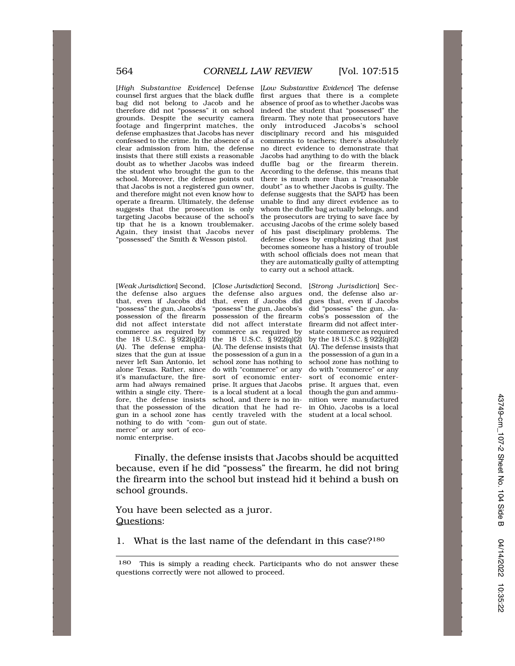counsel first argues that the black duffle first argues that there is a complete bag did not belong to Jacob and he absence of proof as to whether Jacobs was therefore did not "possess" it on school indeed the student that "possessed" the footage and fingerprint matches, the only introduced Jacobs's school defense emphasizes that Jacobs has never disciplinary record and his misguided confessed to the crime. In the absence of a comments to teachers; there's absolutely clear admission from him, the defense no direct evidence to demonstrate that insists that there still exists a reasonable Jacobs had anything to do with the black doubt as to whether Jacobs was indeed duffle bag or the firearm therein. doubt as to whether Jacobs was indeed duffle bag or the firearm therein.<br>the student who brought the gun to the According to the defense, this means that school. Moreover, the defense points out there is much more than a "reasonable that Jacobs is not a registered gun owner, doubt" as to whether Jacobs is guilty. The and therefore might not even know how to defense suggests that the SAPD has been operate a firearm. Ultimately, the defense unable to find any direct evidence as to suggests that the prosecution is only whom the duffle bag actually belongs, and targeting Jacobs because of the school's the prosecutors are trying to save face by tip that he is a known troublemaker. accusing Jacobs of the crime solely based Again, they insist that Jacobs never of his past disciplinary problems. The "possessed" the Smith & Wesson pistol. defense closes by emphasizing that just

[*Weak Jurisdiction*] Second, [*Close Jurisdiction*] Second, [*Strong Jurisdiction*] Secthe defense also argues the defense also argues ond, the defense also arthat, even if Jacobs did that, even if Jacobs did gues that, even if Jacobs "possess" the gun, Jacobs's "possess" the gun, Jacobs's did "possess" the gun, Jadid not affect interstate did not affect interstate commerce as required by commerce as required by state commerce as required the 18 U.S.C.  $\hat{S}$  922(q)(2) the 18 U.S.C.  $\hat{S}$  922(q)(2) by the 18 U.S.C.  $\hat{S}$  922(q)(2) (A). The defense empha- (A). The defense insists that (A). The defense insists that sizes that the gun at issue the possession of a gun in a the possession of a gun in a never left San Antonio, let school zone has nothing to school zone has nothing to alone Texas. Rather, since do with "commerce" or any do with "commerce" or any alone Texas. Rather, since do with "commerce" or any do with "commerce" or any it's manufacture, the firearm had always remained prise. It argues that Jacobs prise. It argues that, even within a single city. There- is a local student at a local though the gun and ammufore, the defense insists school, and there is no in- nition were manufactured that the possession of the dication that he had re- in Ohio, Jacobs is a local gun in a school zone has cently traveled with the student at a local school. nothing to do with "com- gun out of state. merce" or any sort of economic enterprise.

[*High Substantive Evidence*] Defense [*Low Substantive Evidence*] The defense firearm. They note that prosecutors have disciplinary record and his misguided According to the defense, this means that becomes someone has a history of trouble with school officials does not mean that they are automatically guilty of attempting to carry out a school attack.

cobs's possession of the firearm did not affect inter-

Finally, the defense insists that Jacobs should be acquitted because, even if he did "possess" the firearm, he did not bring the firearm into the school but instead hid it behind a bush on school grounds.

You have been selected as a juror. Questions:

1. What is the last name of the defendant in this case?180

<sup>180</sup> This is simply a reading check. Participants who do not answer these questions correctly were not allowed to proceed.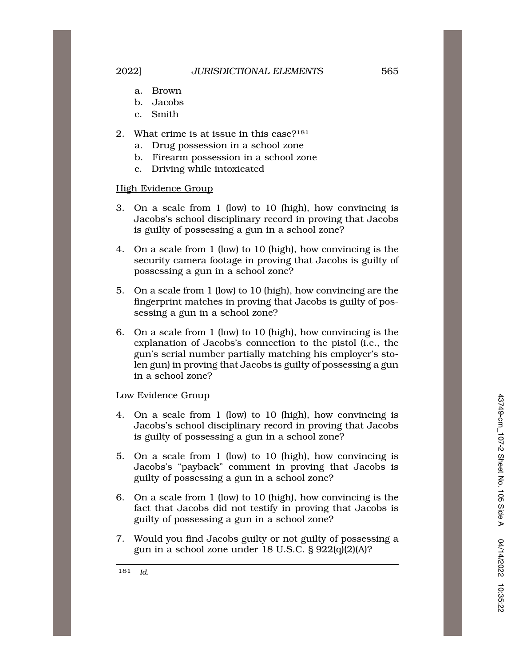- a. Brown
- b. Jacobs
- c. Smith
- 2. What crime is at issue in this case?181
	- a. Drug possession in a school zone
	- b. Firearm possession in a school zone
	- c. Driving while intoxicated

# High Evidence Group

- 3. On a scale from 1 (low) to 10 (high), how convincing is Jacobs's school disciplinary record in proving that Jacobs is guilty of possessing a gun in a school zone?
- 4. On a scale from 1 (low) to 10 (high), how convincing is the security camera footage in proving that Jacobs is guilty of possessing a gun in a school zone?
- 5. On a scale from 1 (low) to 10 (high), how convincing are the fingerprint matches in proving that Jacobs is guilty of possessing a gun in a school zone?
- 6. On a scale from 1 (low) to 10 (high), how convincing is the explanation of Jacobs's connection to the pistol (i.e., the gun's serial number partially matching his employer's stolen gun) in proving that Jacobs is guilty of possessing a gun in a school zone?

# Low Evidence Group

- 4. On a scale from 1 (low) to 10 (high), how convincing is Jacobs's school disciplinary record in proving that Jacobs is guilty of possessing a gun in a school zone?
- 5. On a scale from 1 (low) to 10 (high), how convincing is Jacobs's "payback" comment in proving that Jacobs is guilty of possessing a gun in a school zone?
- 6. On a scale from 1 (low) to 10 (high), how convincing is the fact that Jacobs did not testify in proving that Jacobs is guilty of possessing a gun in a school zone?
- 7. Would you find Jacobs guilty or not guilty of possessing a gun in a school zone under 18 U.S.C. § 922(q)(2)(A)?